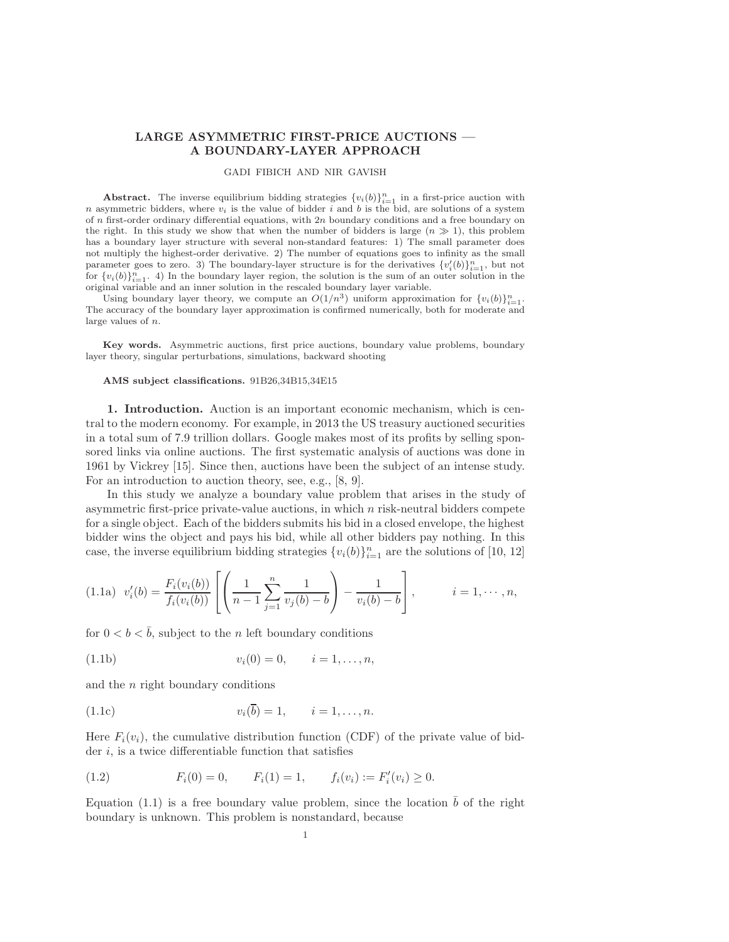## LARGE ASYMMETRIC FIRST-PRICE AUCTIONS — A BOUNDARY-LAYER APPROACH

## GADI FIBICH AND NIR GAVISH

Abstract. The inverse equilibrium bidding strategies  ${v_i(b)}_{i=1}^n$  in a first-price auction with n asymmetric bidders, where  $v_i$  is the value of bidder i and b is the bid, are solutions of a system of n first-order ordinary differential equations, with  $2n$  boundary conditions and a free boundary on the right. In this study we show that when the number of bidders is large  $(n \gg 1)$ , this problem has a boundary layer structure with several non-standard features: 1) The small parameter does not multiply the highest-order derivative. 2) The number of equations goes to infinity as the small parameter goes to zero. 3) The boundary-layer structure is for the derivatives  $\{v_i'(b)\}_{i=1}^n$ , but not for  $\{v_i(b)\}_{i=1}^n$ . 4) In the boundary layer region, the solution is the sum of an outer solution in the original variable and an inner solution in the rescaled boundary layer variable.

Using boundary layer theory, we compute an  $O(1/n^3)$  uniform approximation for  $\{v_i(b)\}_{i=1}^n$ . The accuracy of the boundary layer approximation is confirmed numerically, both for moderate and large values of n.

Key words. Asymmetric auctions, first price auctions, boundary value problems, boundary layer theory, singular perturbations, simulations, backward shooting

## AMS subject classifications. 91B26,34B15,34E15

1. Introduction. Auction is an important economic mechanism, which is central to the modern economy. For example, in 2013 the US treasury auctioned securities in a total sum of 7.9 trillion dollars. Google makes most of its profits by selling sponsored links via online auctions. The first systematic analysis of auctions was done in 1961 by Vickrey [\[15\]](#page-22-0). Since then, auctions have been the subject of an intense study. For an introduction to auction theory, see, e.g., [\[8,](#page-22-1) [9\]](#page-22-2).

In this study we analyze a boundary value problem that arises in the study of asymmetric first-price private-value auctions, in which  $n$  risk-neutral bidders compete for a single object. Each of the bidders submits his bid in a closed envelope, the highest bidder wins the object and pays his bid, while all other bidders pay nothing. In this case, the inverse equilibrium bidding strategies  ${v_i(b)}_{i=1}^n$  are the solutions of [\[10,](#page-22-3) [12\]](#page-22-4)

<span id="page-0-0"></span>
$$
(1.1a) \ v_i'(b) = \frac{F_i(v_i(b))}{f_i(v_i(b))} \left[ \left( \frac{1}{n-1} \sum_{j=1}^n \frac{1}{v_j(b)-b} \right) - \frac{1}{v_i(b)-b} \right], \qquad i=1,\cdots,n,
$$

for  $0 < b < \bar{b}$ , subject to the n left boundary conditions

(1.1b) 
$$
v_i(0) = 0, \qquad i = 1, \dots, n,
$$

<span id="page-0-2"></span>and the  $n$  right boundary conditions

(1.1c) 
$$
v_i(\bar{b}) = 1, \qquad i = 1, ..., n.
$$

Here  $F_i(v_i)$ , the cumulative distribution function (CDF) of the private value of bidder  $i$ , is a twice differentiable function that satisfies

<span id="page-0-1"></span>(1.2) 
$$
F_i(0) = 0
$$
,  $F_i(1) = 1$ ,  $f_i(v_i) := F'_i(v_i) \ge 0$ .

Equation [\(1.1\)](#page-0-0) is a free boundary value problem, since the location  $\bar{b}$  of the right boundary is unknown. This problem is nonstandard, because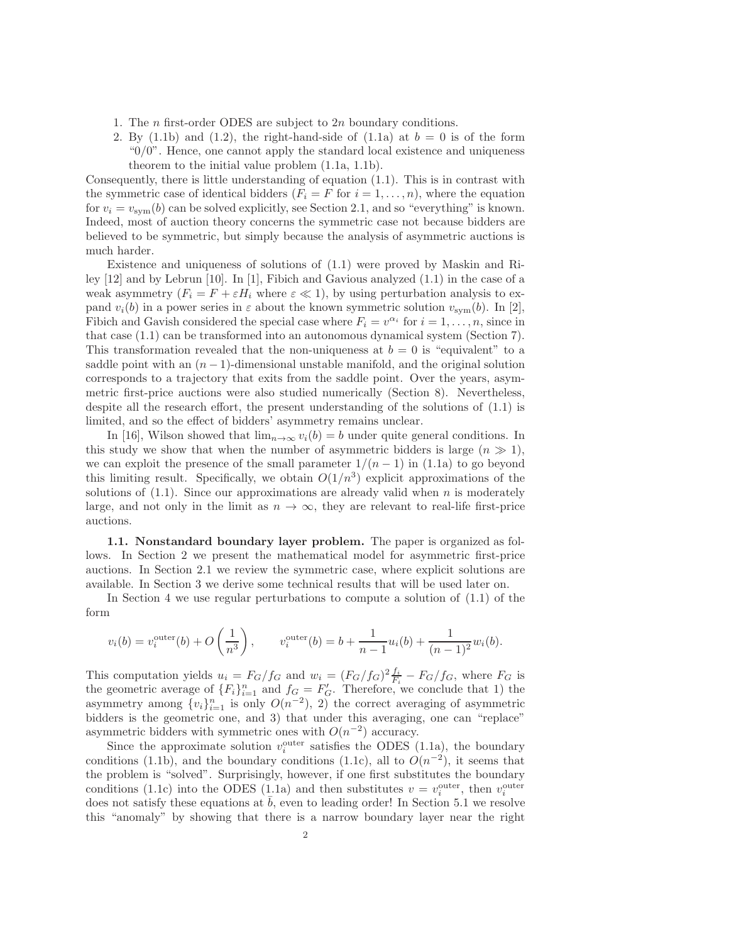- 1. The  $n$  first-order ODES are subject to  $2n$  boundary conditions.
- 2. By [\(1.1b\)](#page-0-1) and [\(1.2\)](#page-0-1), the right-hand-side of [\(1.1a\)](#page-0-0) at  $b = 0$  is of the form " $0/0$ ". Hence, one cannot apply the standard local existence and uniqueness theorem to the initial value problem [\(1.1a,](#page-0-0) [1.1b\)](#page-0-1).

Consequently, there is little understanding of equation  $(1.1)$ . This is in contrast with the symmetric case of identical bidders  $(F_i = F \text{ for } i = 1, \ldots, n)$ , where the equation for  $v_i = v_{sym}(b)$  can be solved explicitly, see Section [2.1,](#page-3-0) and so "everything" is known. Indeed, most of auction theory concerns the symmetric case not because bidders are believed to be symmetric, but simply because the analysis of asymmetric auctions is much harder.

Existence and uniqueness of solutions of [\(1.1\)](#page-0-0) were proved by Maskin and Riley [\[12\]](#page-22-4) and by Lebrun [\[10\]](#page-22-3). In [\[1\]](#page-22-5), Fibich and Gavious analyzed [\(1.1\)](#page-0-0) in the case of a weak asymmetry  $(F_i = F + \varepsilon H_i$  where  $\varepsilon \ll 1$ , by using perturbation analysis to expand  $v_i(b)$  in a power series in  $\varepsilon$  about the known symmetric solution  $v_{\text{sym}}(b)$ . In [\[2\]](#page-22-6), Fibich and Gavish considered the special case where  $F_i = v^{\alpha_i}$  for  $i = 1, ..., n$ , since in that case [\(1.1\)](#page-0-0) can be transformed into an autonomous dynamical system (Section [7\)](#page-17-0). This transformation revealed that the non-uniqueness at  $b = 0$  is "equivalent" to a saddle point with an  $(n - 1)$ -dimensional unstable manifold, and the original solution corresponds to a trajectory that exits from the saddle point. Over the years, asymmetric first-price auctions were also studied numerically (Section [8\)](#page-19-0). Nevertheless, despite all the research effort, the present understanding of the solutions of [\(1.1\)](#page-0-0) is limited, and so the effect of bidders' asymmetry remains unclear.

In [\[16\]](#page-23-0), Wilson showed that  $\lim_{n\to\infty} v_i(b) = b$  under quite general conditions. In this study we show that when the number of asymmetric bidders is large  $(n \gg 1)$ , we can exploit the presence of the small parameter  $1/(n-1)$  in [\(1.1a\)](#page-0-0) to go beyond this limiting result. Specifically, we obtain  $O(1/n^3)$  explicit approximations of the solutions of  $(1.1)$ . Since our approximations are already valid when n is moderately large, and not only in the limit as  $n \to \infty$ , they are relevant to real-life first-price auctions.

1.1. Nonstandard boundary layer problem. The paper is organized as follows. In Section [2](#page-2-0) we present the mathematical model for asymmetric first-price auctions. In Section [2.1](#page-3-0) we review the symmetric case, where explicit solutions are available. In Section [3](#page-3-1) we derive some technical results that will be used later on.

In Section [4](#page-4-0) we use regular perturbations to compute a solution of [\(1.1\)](#page-0-0) of the form

$$
v_i(b) = v_i^{\text{outer}}(b) + O\left(\frac{1}{n^3}\right)
$$
,  $v_i^{\text{outer}}(b) = b + \frac{1}{n-1}u_i(b) + \frac{1}{(n-1)^2}w_i(b)$ .

This computation yields  $u_i = F_G/f_G$  and  $w_i = (F_G/f_G)^2 \frac{f_i}{F_i} - F_G/f_G$ , where  $F_G$  is the geometric average of  ${F_i}_{i=1}^n$  and  $f_G = F'_G$ . Therefore, we conclude that 1) the asymmetry among  $\{v_i\}_{i=1}^n$  is only  $O(n^{-2})$ , 2) the correct averaging of asymmetric bidders is the geometric one, and 3) that under this averaging, one can "replace" asymmetric bidders with symmetric ones with  $O(n^{-2})$  accuracy.

Since the approximate solution  $v_i^{\text{outer}}$  satisfies the ODES [\(1.1a\)](#page-0-0), the boundary conditions [\(1.1b\)](#page-0-1), and the boundary conditions [\(1.1c\)](#page-0-2), all to  $O(n^{-2})$ , it seems that the problem is "solved". Surprisingly, however, if one first substitutes the boundary conditions [\(1.1c\)](#page-0-2) into the ODES [\(1.1a\)](#page-0-0) and then substitutes  $v = v_i^{\text{outer}}$ , then  $v_i^{\text{outer}}$ does not satisfy these equations at  $\bar{b}$ , even to leading order! In Section [5.1](#page-7-0) we resolve this "anomaly" by showing that there is a narrow boundary layer near the right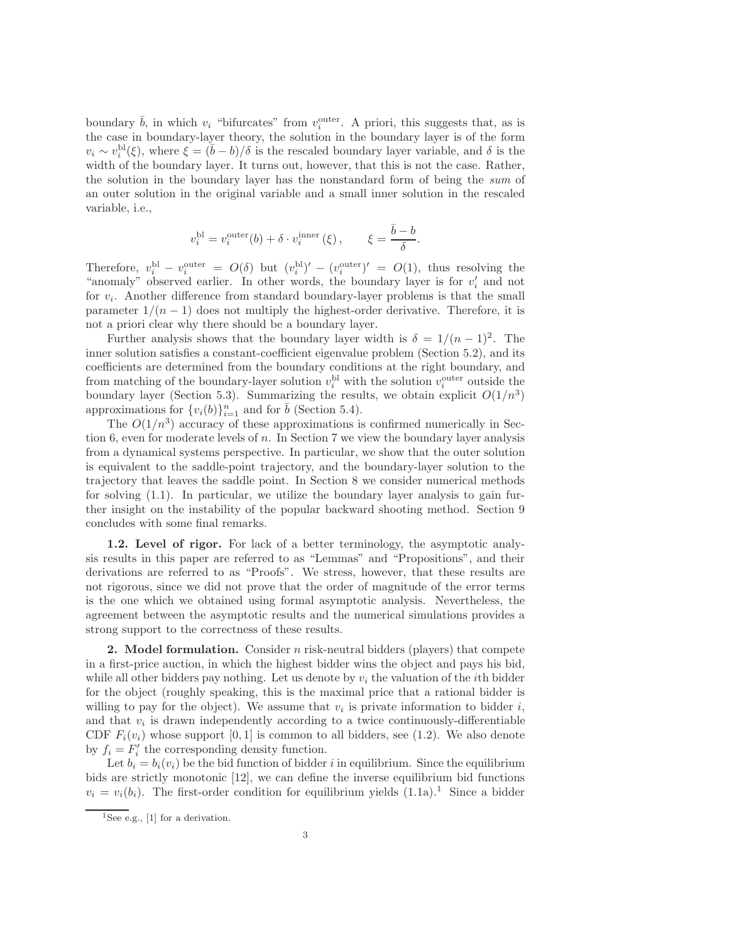boundary  $\bar{b}$ , in which  $v_i$  "bifurcates" from  $v_i^{\text{outer}}$ . A priori, this suggests that, as is the case in boundary-layer theory, the solution in the boundary layer is of the form  $v_i \sim v_i^{\text{bl}}(\xi)$ , where  $\xi = (\bar{b} - b)/\delta$  is the rescaled boundary layer variable, and  $\delta$  is the width of the boundary layer. It turns out, however, that this is not the case. Rather, the solution in the boundary layer has the nonstandard form of being the sum of an outer solution in the original variable and a small inner solution in the rescaled variable, i.e.,

$$
v_i^{\text{bl}} = v_i^{\text{outer}}(b) + \delta \cdot v_i^{\text{inner}}(\xi) , \qquad \xi = \frac{\bar{b} - b}{\delta}.
$$

Therefore,  $v_i^{\text{bl}} - v_i^{\text{outer}} = O(\delta)$  but  $(v_i^{\text{bl}})' - (v_i^{\text{outer}})' = O(1)$ , thus resolving the "anomaly" observed earlier. In other words, the boundary layer is for  $v_i'$  and not for  $v_i$ . Another difference from standard boundary-layer problems is that the small parameter  $1/(n-1)$  does not multiply the highest-order derivative. Therefore, it is not a priori clear why there should be a boundary layer.

Further analysis shows that the boundary layer width is  $\delta = 1/(n-1)^2$ . The inner solution satisfies a constant-coefficient eigenvalue problem (Section [5.2\)](#page-9-0), and its coefficients are determined from the boundary conditions at the right boundary, and from matching of the boundary-layer solution  $v_i^{\text{bl}}$  with the solution  $v_i^{\text{outer}}$  outside the boundary layer (Section [5.3\)](#page-10-0). Summarizing the results, we obtain explicit  $O(1/n^3)$ approximations for  $\{v_i(b)\}_{i=1}^n$  and for  $\bar{b}$  (Section [5.4\)](#page-13-0).

The  $O(1/n^3)$  accuracy of these approximations is confirmed numerically in Sec-tion [6,](#page-14-0) even for moderate levels of  $n$ . In Section [7](#page-17-0) we view the boundary layer analysis from a dynamical systems perspective. In particular, we show that the outer solution is equivalent to the saddle-point trajectory, and the boundary-layer solution to the trajectory that leaves the saddle point. In Section [8](#page-19-0) we consider numerical methods for solving [\(1.1\)](#page-0-0). In particular, we utilize the boundary layer analysis to gain further insight on the instability of the popular backward shooting method. Section [9](#page-21-0) concludes with some final remarks.

1.2. Level of rigor. For lack of a better terminology, the asymptotic analysis results in this paper are referred to as "Lemmas" and "Propositions", and their derivations are referred to as "Proofs". We stress, however, that these results are not rigorous, since we did not prove that the order of magnitude of the error terms is the one which we obtained using formal asymptotic analysis. Nevertheless, the agreement between the asymptotic results and the numerical simulations provides a strong support to the correctness of these results.

<span id="page-2-0"></span>**2.** Model formulation. Consider n risk-neutral bidders (players) that compete in a first-price auction, in which the highest bidder wins the object and pays his bid, while all other bidders pay nothing. Let us denote by  $v_i$  the valuation of the *i*th bidder for the object (roughly speaking, this is the maximal price that a rational bidder is willing to pay for the object). We assume that  $v_i$  is private information to bidder i, and that  $v_i$  is drawn independently according to a twice continuously-differentiable CDF  $F_i(v_i)$  whose support [0, 1] is common to all bidders, see [\(1.2\)](#page-0-1). We also denote by  $f_i = F'_i$  the corresponding density function.

Let  $b_i = b_i(v_i)$  be the bid function of bidder i in equilibrium. Since the equilibrium bids are strictly monotonic [\[12\]](#page-22-4), we can define the inverse equilibrium bid functions  $v_i = v_i(b_i)$ . The first-order condition for equilibrium yields  $(1.1a)$  $(1.1a)$  $(1.1a)$ .<sup>1</sup> Since a bidder

<span id="page-2-1"></span> $\overline{^{1}$ See e.g., [\[1\]](#page-22-5) for a derivation.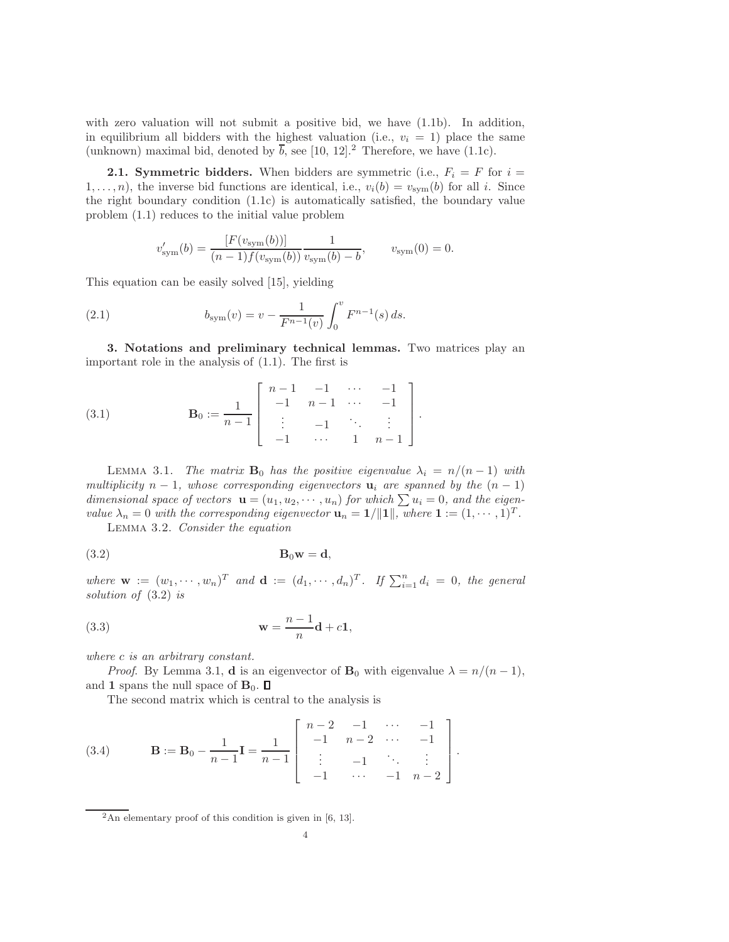with zero valuation will not submit a positive bid, we have  $(1.1b)$ . In addition, in equilibrium all bidders with the highest valuation (i.e.,  $v_i = 1$ ) place the same (unknown) maximal bid, denoted by  $\overline{b}$ , see [\[10,](#page-22-3) [12\]](#page-22-4).<sup>[2](#page-3-2)</sup> Therefore, we have [\(1.1c\)](#page-0-2).

<span id="page-3-0"></span>**2.1. Symmetric bidders.** When bidders are symmetric (i.e.,  $F_i = F$  for  $i =$  $1, \ldots, n$ , the inverse bid functions are identical, i.e.,  $v_i(b) = v_{sym}(b)$  for all i. Since the right boundary condition [\(1.1c\)](#page-0-2) is automatically satisfied, the boundary value problem [\(1.1\)](#page-0-0) reduces to the initial value problem

$$
v'_{\text{sym}}(b) = \frac{[F(v_{\text{sym}}(b))] - 1}{(n-1)f(v_{\text{sym}}(b))} \frac{1}{v_{\text{sym}}(b) - b}, \qquad v_{\text{sym}}(0) = 0.
$$

This equation can be easily solved [\[15\]](#page-22-0), yielding

(2.1) 
$$
b_{\text{sym}}(v) = v - \frac{1}{F^{n-1}(v)} \int_0^v F^{n-1}(s) ds.
$$

<span id="page-3-1"></span>3. Notations and preliminary technical lemmas. Two matrices play an important role in the analysis of [\(1.1\)](#page-0-0). The first is

(3.1) 
$$
\mathbf{B}_0 := \frac{1}{n-1} \begin{bmatrix} n-1 & -1 & \cdots & -1 \\ -1 & n-1 & \cdots & -1 \\ \vdots & -1 & \ddots & \vdots \\ -1 & \cdots & 1 & n-1 \end{bmatrix}.
$$

<span id="page-3-3"></span>LEMMA 3.1. The matrix  $\mathbf{B}_0$  has the positive eigenvalue  $\lambda_i = n/(n-1)$  with multiplicity  $n-1$ , whose corresponding eigenvectors  $\mathbf{u}_i$  are spanned by the  $(n-1)$ dimensional space of vectors  $\mathbf{u} = (u_1, u_2, \dots, u_n)$  for which  $\sum u_i = 0$ , and the eigenvalue  $\lambda_n = 0$  with the corresponding eigenvector  $\mathbf{u}_n = \mathbf{1}/\|\mathbf{1}\|$ , where  $\mathbf{1} := (1, \dots, 1)^T$ .

<span id="page-3-4"></span>Lemma 3.2. Consider the equation

$$
B_0w = d,
$$

where  $\mathbf{w} := (w_1, \dots, w_n)^T$  and  $\mathbf{d} := (d_1, \dots, d_n)^T$ . If  $\sum_{i=1}^n d_i = 0$ , the general solution of [\(3.2\)](#page-4-1) is

$$
\mathbf{w} = \frac{n-1}{n}\mathbf{d} + c\mathbf{1},
$$

where c is an arbitrary constant.

*Proof.* By Lemma [3.1,](#page-3-3) **d** is an eigenvector of  $\mathbf{B}_0$  with eigenvalue  $\lambda = n/(n-1)$ , and 1 spans the null space of  $\mathbf{B}_0$ .  $\Box$ 

<span id="page-3-5"></span>The second matrix which is central to the analysis is

(3.4) 
$$
\mathbf{B} := \mathbf{B}_0 - \frac{1}{n-1} \mathbf{I} = \frac{1}{n-1} \begin{bmatrix} n-2 & -1 & \cdots & -1 \\ -1 & n-2 & \cdots & -1 \\ \vdots & -1 & \ddots & \vdots \\ -1 & \cdots & -1 & n-2 \end{bmatrix}.
$$

<span id="page-3-6"></span><span id="page-3-2"></span> $2$ An elementary proof of this condition is given in [\[6,](#page-22-7) [13\]](#page-22-8).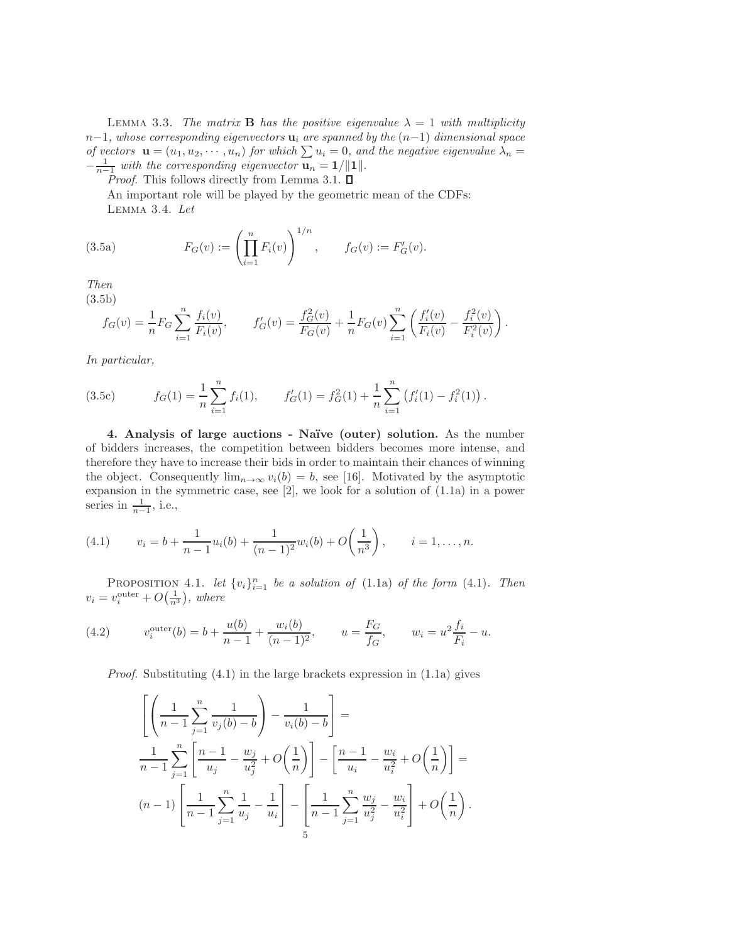LEMMA 3.3. The matrix **B** has the positive eigenvalue  $\lambda = 1$  with multiplicity  $n-1$ , whose corresponding eigenvectors  $\mathbf{u}_i$  are spanned by the  $(n-1)$  dimensional space of vectors  $\mathbf{u} = (u_1, u_2, \dots, u_n)$  for which  $\sum u_i = 0$ , and the negative eigenvalue  $\lambda_n =$  $-\frac{1}{n-1}$  with the corresponding eigenvector  $\mathbf{u}_n = \frac{1}{\|\mathbf{u}\|}$ .

*Proof.* This follows directly from Lemma [3.1.](#page-3-3)  $\square$ 

An important role will be played by the geometric mean of the CDFs: Lemma 3.4. Let

(3.5a) 
$$
F_G(v) := \left(\prod_{i=1}^n F_i(v)\right)^{1/n}, \qquad f_G(v) := F'_G(v).
$$

<span id="page-4-1"></span>Then

(3.5b)

<span id="page-4-5"></span>
$$
f_G(v) = \frac{1}{n} F_G \sum_{i=1}^n \frac{f_i(v)}{F_i(v)}, \qquad f'_G(v) = \frac{f_G^2(v)}{F_G(v)} + \frac{1}{n} F_G(v) \sum_{i=1}^n \left( \frac{f'_i(v)}{F_i(v)} - \frac{f_i^2(v)}{F_i^2(v)} \right).
$$

In particular,

(3.5c) 
$$
f_G(1) = \frac{1}{n} \sum_{i=1}^n f_i(1), \qquad f'_G(1) = f_G^2(1) + \frac{1}{n} \sum_{i=1}^n (f'_i(1) - f_i^2(1)).
$$

<span id="page-4-0"></span>4. Analysis of large auctions - Na¨ıve (outer) solution. As the number of bidders increases, the competition between bidders becomes more intense, and therefore they have to increase their bids in order to maintain their chances of winning the object. Consequently  $\lim_{n\to\infty} v_i(b) = b$ , see [\[16\]](#page-23-0). Motivated by the asymptotic expansion in the symmetric case, see [\[2\]](#page-22-6), we look for a solution of [\(1.1a\)](#page-0-0) in a power series in  $\frac{1}{n-1}$ , i.e.,

<span id="page-4-2"></span>(4.1) 
$$
v_i = b + \frac{1}{n-1}u_i(b) + \frac{1}{(n-1)^2}w_i(b) + O\left(\frac{1}{n^3}\right), \qquad i = 1, \dots, n.
$$

<span id="page-4-4"></span>PROPOSITION 4.1. let  $\{v_i\}_{i=1}^n$  be a solution of [\(1.1a\)](#page-0-0) of the form [\(4.1\)](#page-4-2). Then  $v_i = v_i^{\text{outer}} + O\left(\frac{1}{n^3}\right)$ , where

(4.2) 
$$
v_i^{\text{outer}}(b) = b + \frac{u(b)}{n-1} + \frac{w_i(b)}{(n-1)^2}, \qquad u = \frac{F_G}{f_G}, \qquad w_i = u^2 \frac{f_i}{F_i} - u.
$$

*Proof.* Substituting  $(4.1)$  in the large brackets expression in  $(1.1a)$  gives

<span id="page-4-3"></span>
$$
\left[ \left( \frac{1}{n-1} \sum_{j=1}^{n} \frac{1}{v_j(b) - b} \right) - \frac{1}{v_i(b) - b} \right] =
$$
\n
$$
\frac{1}{n-1} \sum_{j=1}^{n} \left[ \frac{n-1}{u_j} - \frac{w_j}{u_j^2} + O\left(\frac{1}{n}\right) \right] - \left[ \frac{n-1}{u_i} - \frac{w_i}{u_i^2} + O\left(\frac{1}{n}\right) \right] =
$$
\n
$$
(n-1) \left[ \frac{1}{n-1} \sum_{j=1}^{n} \frac{1}{u_j} - \frac{1}{u_i} \right] - \left[ \frac{1}{n-1} \sum_{j=1}^{n} \frac{w_j}{u_j^2} - \frac{w_i}{u_i^2} \right] + O\left(\frac{1}{n}\right).
$$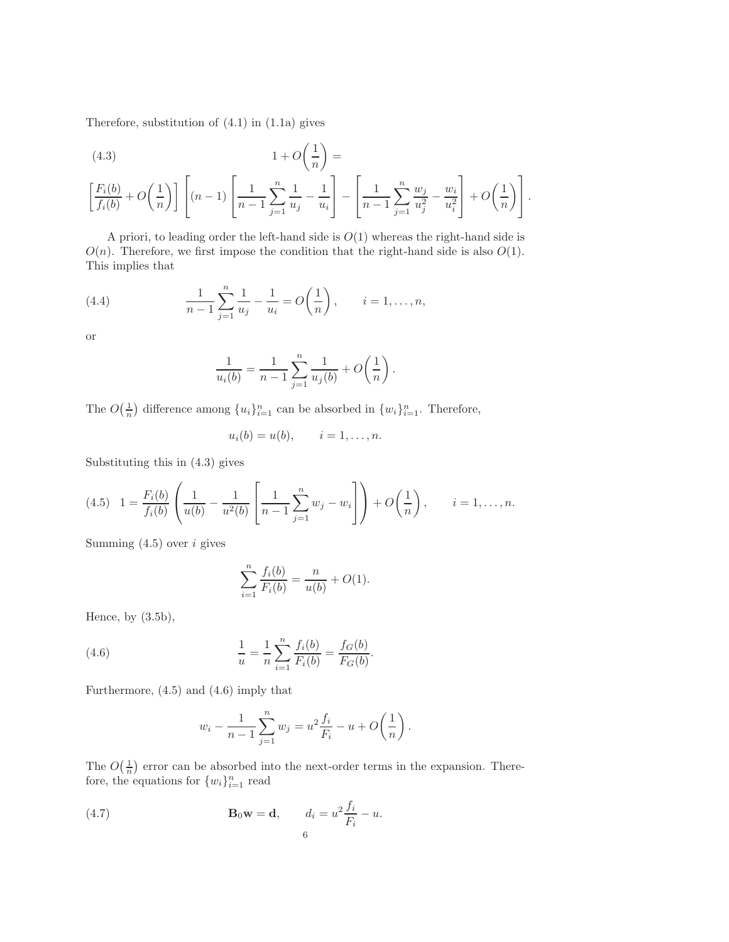Therefore, substitution of [\(4.1\)](#page-4-2) in [\(1.1a\)](#page-0-0) gives

<span id="page-5-0"></span>(4.3)  
\n
$$
1 + O\left(\frac{1}{n}\right) =
$$
\n
$$
\left[\frac{F_i(b)}{f_i(b)} + O\left(\frac{1}{n}\right)\right] \left[(n-1)\left[\frac{1}{n-1}\sum_{j=1}^n \frac{1}{u_j} - \frac{1}{u_i}\right] - \left[\frac{1}{n-1}\sum_{j=1}^n \frac{w_j}{u_j^2} - \frac{w_i}{u_i^2}\right] + O\left(\frac{1}{n}\right)\right].
$$

A priori, to leading order the left-hand side is  $O(1)$  whereas the right-hand side is  $O(n)$ . Therefore, we first impose the condition that the right-hand side is also  $O(1)$ . This implies that

(4.4) 
$$
\frac{1}{n-1} \sum_{j=1}^{n} \frac{1}{u_j} - \frac{1}{u_i} = O\left(\frac{1}{n}\right), \qquad i = 1, \dots, n,
$$

or

$$
\frac{1}{u_i(b)} = \frac{1}{n-1} \sum_{j=1}^n \frac{1}{u_j(b)} + O\left(\frac{1}{n}\right).
$$

The  $O(\frac{1}{n})$  difference among  $\{u_i\}_{i=1}^n$  can be absorbed in  $\{w_i\}_{i=1}^n$ . Therefore,

<span id="page-5-1"></span>
$$
u_i(b) = u(b), \qquad i = 1, \ldots, n.
$$

Substituting this in [\(4.3\)](#page-5-0) gives

$$
(4.5) \quad 1 = \frac{F_i(b)}{f_i(b)} \left( \frac{1}{u(b)} - \frac{1}{u^2(b)} \left[ \frac{1}{n-1} \sum_{j=1}^n w_j - w_i \right] \right) + O\left(\frac{1}{n}\right), \qquad i = 1, \dots, n.
$$

Summing  $(4.5)$  over *i* gives

<span id="page-5-2"></span>
$$
\sum_{i=1}^{n} \frac{f_i(b)}{F_i(b)} = \frac{n}{u(b)} + O(1).
$$

Hence, by  $(3.5b)$ ,

(4.6) 
$$
\frac{1}{u} = \frac{1}{n} \sum_{i=1}^{n} \frac{f_i(b)}{F_i(b)} = \frac{f_G(b)}{F_G(b)}.
$$

Furthermore, [\(4.5\)](#page-5-1) and [\(4.6\)](#page-5-2) imply that

<span id="page-5-3"></span>
$$
w_i - \frac{1}{n-1} \sum_{j=1}^n w_j = u^2 \frac{f_i}{F_i} - u + O\left(\frac{1}{n}\right).
$$

The  $O(\frac{1}{n})$  error can be absorbed into the next-order terms in the expansion. Therefore, the equations for  $\{w_i\}_{i=1}^n$  read

(4.7) 
$$
\mathbf{B}_0 \mathbf{w} = \mathbf{d}, \qquad d_i = u^2 \frac{f_i}{F_i} - u.
$$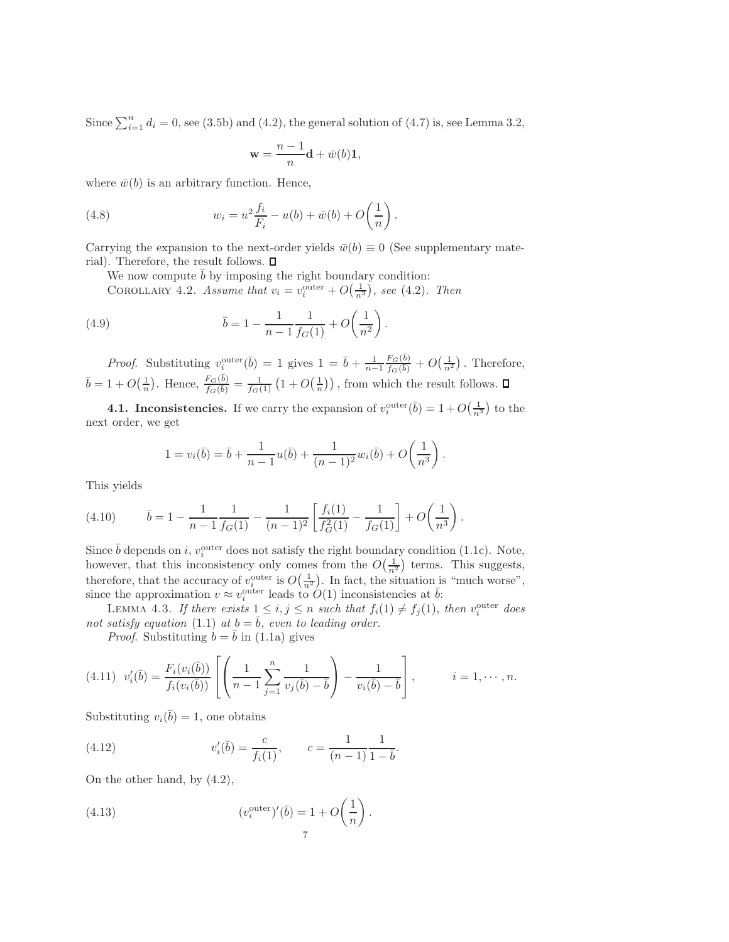Since  $\sum_{i=1}^{n} d_i = 0$ , see [\(3.5b\)](#page-4-1) and [\(4.2\)](#page-4-3), the general solution of [\(4.7\)](#page-5-3) is, see Lemma [3.2,](#page-3-4)

<span id="page-6-6"></span><span id="page-6-3"></span>
$$
\mathbf{w} = \frac{n-1}{n} \mathbf{d} + \bar{w}(b) \mathbf{1},
$$

where  $\bar{w}(b)$  is an arbitrary function. Hence,

(4.8) 
$$
w_i = u^2 \frac{f_i}{F_i} - u(b) + \bar{w}(b) + O\left(\frac{1}{n}\right).
$$

Carrying the expansion to the next-order yields  $\bar{w}(b) \equiv 0$  (See supplementary material). Therefore, the result follows.  $\square$ 

We now compute  $b$  by imposing the right boundary condition:

COROLLARY 4.2. Assume that  $v_i = v_i^{\text{outer}} + O(\frac{1}{n^3})$ , see [\(4.2\)](#page-4-3). Then

(4.9) 
$$
\bar{b} = 1 - \frac{1}{n-1} \frac{1}{f_G(1)} + O\left(\frac{1}{n^2}\right).
$$

*Proof.* Substituting  $v_i^{\text{outer}}(\bar{b}) = 1$  gives  $1 = \bar{b} + \frac{1}{n-1}$  $F_G(\bar b)$  $\frac{F_G(b)}{f_G(b)} + O(\frac{1}{n^2})$ . Therefore,  $\bar{b} = 1 + O\left(\frac{1}{n}\right)$ . Hence,  $\frac{F_G(\bar{b})}{f_G(\bar{b})} = \frac{1}{f_G(1)}\left(1 + O\left(\frac{1}{n}\right)\right)$ , from which the result follows.

<span id="page-6-5"></span>**4.1. Inconsistencies.** If we carry the expansion of  $v_i^{\text{outer}}(\bar{b}) = 1 + O(\frac{1}{n^3})$  to the next order, we get

<span id="page-6-7"></span><span id="page-6-4"></span>
$$
1 = v_i(\bar{b}) = \bar{b} + \frac{1}{n-1}u(\bar{b}) + \frac{1}{(n-1)^2}w_i(\bar{b}) + O\left(\frac{1}{n^3}\right).
$$

This yields

(4.10) 
$$
\bar{b} = 1 - \frac{1}{n-1} \frac{1}{f_G(1)} - \frac{1}{(n-1)^2} \left[ \frac{f_i(1)}{f_G^2(1)} - \frac{1}{f_G(1)} \right] + O\left(\frac{1}{n^3}\right).
$$

Since  $\bar{b}$  depends on i,  $v_i^{\text{outer}}$  does not satisfy the right boundary condition [\(1.1c\)](#page-0-2). Note, however, that this inconsistency only comes from the  $O(\frac{1}{n^2})$  terms. This suggests, therefore, that the accuracy of  $v_i^{\text{outer}}$  is  $O(\frac{1}{n^2})$ . In fact, the situation is "much worse", since the approximation  $v \approx v_i^{\text{outer}}$  leads to  $O(1)$  inconsistencies at  $\bar{b}$ .

LEMMA 4.3. If there exists  $1 \leq i, j \leq n$  such that  $f_i(1) \neq f_j(1)$ , then  $v_i^{\text{outer}}$  does not satisfy equation [\(1.1\)](#page-0-0) at  $b = \overline{b}$ , even to leading order.

<span id="page-6-2"></span><span id="page-6-0"></span>*Proof.* Substituting  $b = b$  in [\(1.1a\)](#page-0-0) gives

$$
(4.11) \ \ v_i'(\bar{b}) = \frac{F_i(v_i(\bar{b}))}{f_i(v_i(\bar{b}))} \left[ \left( \frac{1}{n-1} \sum_{j=1}^n \frac{1}{v_j(\bar{b}) - \bar{b}} \right) - \frac{1}{v_i(\bar{b}) - \bar{b}} \right], \qquad i = 1, \cdots, n.
$$

Substituting  $v_i(\bar{b}) = 1$ , one obtains

(4.12) 
$$
v'_{i}(\bar{b}) = \frac{c}{f_{i}(1)}, \qquad c = \frac{1}{(n-1)}\frac{1}{1-\bar{b}}.
$$

<span id="page-6-1"></span>On the other hand, by [\(4.2\)](#page-4-3),

(4.13) 
$$
(v_i^{\text{outer}})'(\bar{b}) = 1 + O\left(\frac{1}{n}\right).
$$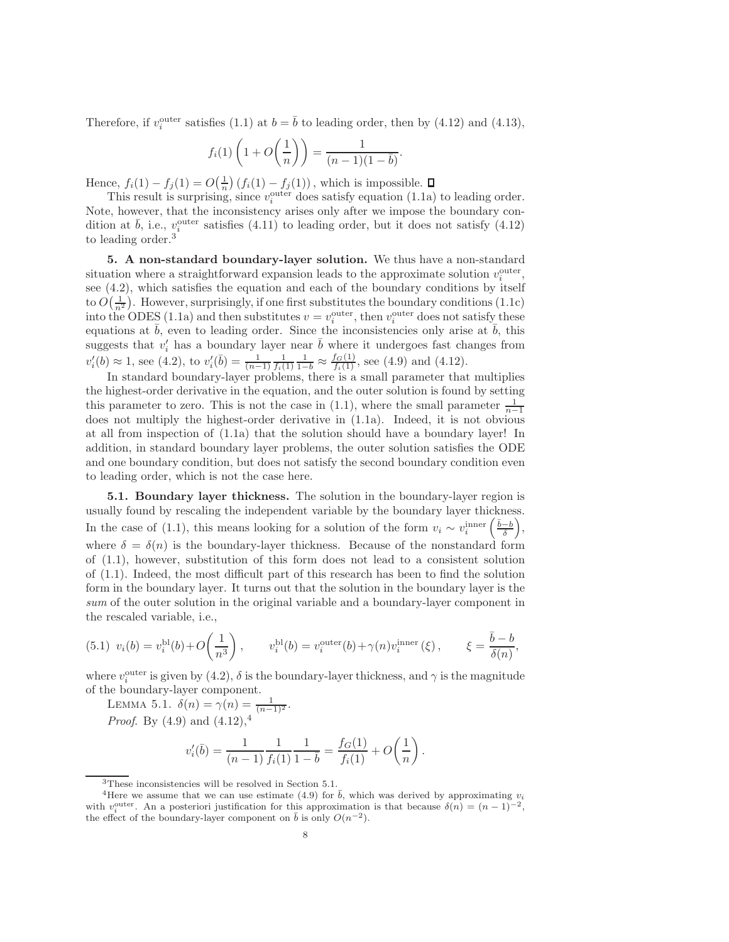Therefore, if  $v_i^{\text{outer}}$  satisfies [\(1.1\)](#page-0-0) at  $b = \overline{b}$  to leading order, then by [\(4.12\)](#page-6-0) and [\(4.13\)](#page-6-1),

$$
f_i(1)\left(1+O\left(\frac{1}{n}\right)\right)=\frac{1}{(n-1)(1-\overline{b})}
$$

.

Hence,  $f_i(1) - f_j(1) = O(\frac{1}{n}) (f_i(1) - f_j(1))$ , which is impossible.

This result is surprising, since  $v_i^{\text{outer}}$  does satisfy equation [\(1.1a\)](#page-0-0) to leading order. Note, however, that the inconsistency arises only after we impose the boundary condition at  $\bar{b}$ , i.e.,  $v_i^{\text{outer}}$  satisfies [\(4.11\)](#page-6-2) to leading order, but it does not satisfy [\(4.12\)](#page-6-0) to leading order.<sup>[3](#page-7-1)</sup>

<span id="page-7-4"></span>5. A non-standard boundary-layer solution. We thus have a non-standard situation where a straightforward expansion leads to the approximate solution  $v_i^{\text{outer}}$ , see [\(4.2\)](#page-4-3), which satisfies the equation and each of the boundary conditions by itself to  $O(\frac{1}{n^2})$ . However, surprisingly, if one first substitutes the boundary conditions [\(1.1c\)](#page-0-2) into the ODES [\(1.1a\)](#page-0-0) and then substitutes  $v = v_i^{\text{outer}}$ , then  $v_i^{\text{outer}}$  does not satisfy these equations at  $\bar{b}$ , even to leading order. Since the inconsistencies only arise at  $\bar{b}$ , this suggests that  $v'_i$  has a boundary layer near  $\bar{b}$  where it undergoes fast changes from  $v_i'(b) \approx 1$ , see [\(4.2\)](#page-4-3), to  $v_i'(\bar{b}) = \frac{1}{(n-1)} \frac{1}{f_i(1)} \frac{1}{1-\bar{b}} \approx \frac{f_G(1)}{f_i(1)}$ , see [\(4.9\)](#page-6-3) and [\(4.12\)](#page-6-0).

In standard boundary-layer problems, there is a small parameter that multiplies the highest-order derivative in the equation, and the outer solution is found by setting this parameter to zero. This is not the case in  $(1.1)$ , where the small parameter  $\frac{1}{n-1}$ does not multiply the highest-order derivative in [\(1.1a\)](#page-0-0). Indeed, it is not obvious at all from inspection of [\(1.1a\)](#page-0-0) that the solution should have a boundary layer! In addition, in standard boundary layer problems, the outer solution satisfies the ODE and one boundary condition, but does not satisfy the second boundary condition even to leading order, which is not the case here.

<span id="page-7-0"></span>5.1. Boundary layer thickness. The solution in the boundary-layer region is usually found by rescaling the independent variable by the boundary layer thickness. In the case of [\(1.1\)](#page-0-0), this means looking for a solution of the form  $v_i \sim v_i^{\text{inner}}\left(\frac{\bar{b}-b}{\delta}\right)$ , where  $\delta = \delta(n)$  is the boundary-layer thickness. Because of the nonstandard form of [\(1.1\)](#page-0-0), however, substitution of this form does not lead to a consistent solution of [\(1.1\)](#page-0-0). Indeed, the most difficult part of this research has been to find the solution form in the boundary layer. It turns out that the solution in the boundary layer is the sum of the outer solution in the original variable and a boundary-layer component in the rescaled variable, i.e.,

$$
(5.1) \ v_i(b) = v_i^{\text{bl}}(b) + O\left(\frac{1}{n^3}\right), \qquad v_i^{\text{bl}}(b) = v_i^{\text{outer}}(b) + \gamma(n)v_i^{\text{inner}}(\xi), \qquad \xi = \frac{\bar{b} - b}{\delta(n)},
$$

<span id="page-7-3"></span>where  $v_i^{\text{outer}}$  is given by [\(4.2\)](#page-4-3),  $\delta$  is the boundary-layer thickness, and  $\gamma$  is the magnitude of the boundary-layer component.

LEMMA 5.1.  $\delta(n) = \gamma(n) = \frac{1}{(n-1)^2}$ . *Proof.* By [\(4.9\)](#page-6-3) and  $(4.12)$  $(4.12)$  $(4.12)$ ,<sup>4</sup>

$$
v'_{i}(\bar{b}) = \frac{1}{(n-1)} \frac{1}{f_{i}(1)} \frac{1}{1-\bar{b}} = \frac{f_{G}(1)}{f_{i}(1)} + O\left(\frac{1}{n}\right).
$$

<span id="page-7-2"></span><span id="page-7-1"></span> $^3 \rm{These}$  inconsistencies will be resolved in Section [5.1.](#page-7-0)

<sup>&</sup>lt;sup>4</sup>Here we assume that we can use estimate [\(4.9\)](#page-6-3) for  $\bar{b}$ , which was derived by approximating  $v_i$ with  $v_i^{\text{outer}}$ . An a posteriori justification for this approximation is that because  $\delta(n) = (n-1)^{-2}$ , where  $\vec{v}_i$  and  $\vec{v}_i$  constant is approximation.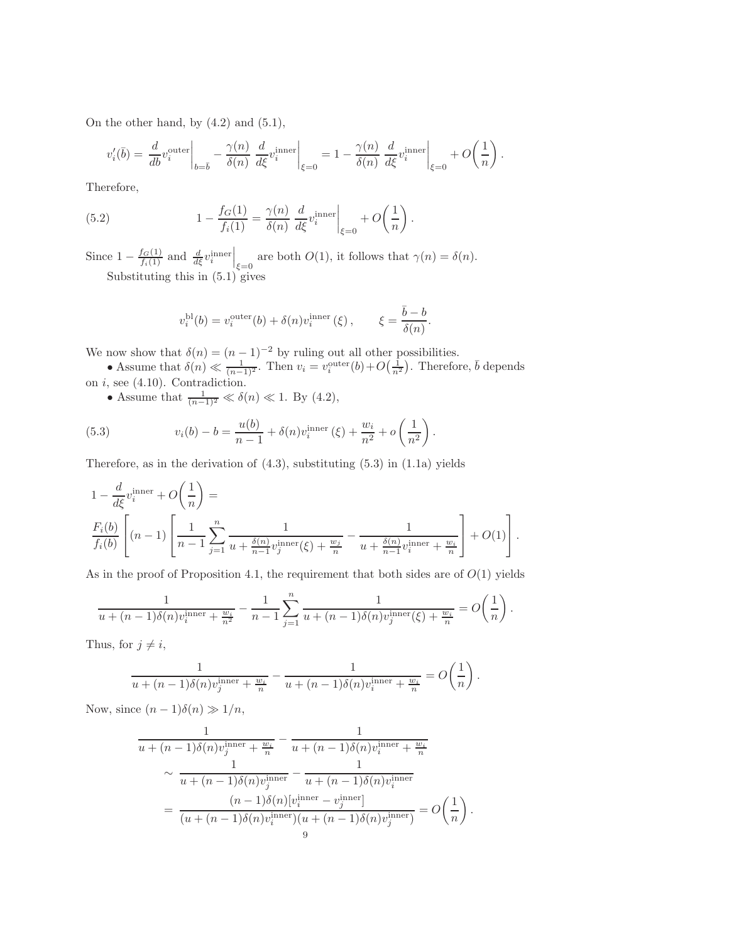On the other hand, by [\(4.2\)](#page-4-3) and [\(5.1\)](#page-13-1),

$$
v_i'(\overline{b}) = \left. \frac{d}{db} v_i^{\text{outer}} \right|_{b=\overline{b}} - \left. \frac{\gamma(n)}{\delta(n)} \left. \frac{d}{d\xi} v_i^{\text{inner}} \right|_{\xi=0} = 1 - \left. \frac{\gamma(n)}{\delta(n)} \left. \frac{d}{d\xi} v_i^{\text{inner}} \right|_{\xi=0} + O\left( \frac{1}{n} \right) \right. \right).
$$

Therefore,

(5.2) 
$$
1 - \frac{f_G(1)}{f_i(1)} = \frac{\gamma(n)}{\delta(n)} \left. \frac{d}{d\xi} v_i^{\text{inner}} \right|_{\xi=0} + O\left(\frac{1}{n}\right).
$$

Since  $1 - \frac{f_G(1)}{f_i(1)}$  and  $\frac{d}{d\xi} v_i^{\text{inner}} \Big|_{\xi=0}$  are both  $O(1)$ , it follows that  $\gamma(n) = \delta(n)$ . Substituting this in [\(5.1\)](#page-13-1) gives

$$
v_i^{\text{bl}}(b) = v_i^{\text{outer}}(b) + \delta(n)v_i^{\text{inner}}(\xi), \qquad \xi = \frac{\bar{b} - b}{\delta(n)}.
$$

We now show that  $\delta(n) = (n-1)^{-2}$  by ruling out all other possibilities.

- Assume that  $\delta(n) \ll \frac{1}{(n-1)^2}$ . Then  $v_i = v_i^{\text{outer}}(b) + O(\frac{1}{n^2})$ . Therefore,  $\bar{b}$  depends on  $i$ , see  $(4.10)$ . Contradiction.
	- Assume that  $\frac{1}{(n-1)^2} \ll \delta(n) \ll 1$ . By [\(4.2\)](#page-4-3),

(5.3) 
$$
v_i(b) - b = \frac{u(b)}{n-1} + \delta(n)v_i^{\text{inner}}(\xi) + \frac{w_i}{n^2} + o\left(\frac{1}{n^2}\right).
$$

Therefore, as in the derivation of  $(4.3)$ , substituting  $(5.3)$  in  $(1.1a)$  yields

$$
1 - \frac{d}{d\xi}v_i^{\text{inner}} + O\left(\frac{1}{n}\right) =
$$
  

$$
\frac{F_i(b)}{f_i(b)}\left[ (n-1)\left[ \frac{1}{n-1}\sum_{j=1}^n \frac{1}{u + \frac{\delta(n)}{n-1}v_j^{\text{inner}}(\xi) + \frac{w_j}{n}} - \frac{1}{u + \frac{\delta(n)}{n-1}v_i^{\text{inner}} + \frac{w_i}{n}} \right] + O(1) \right].
$$

As in the proof of Proposition [4.1,](#page-4-4) the requirement that both sides are of  $O(1)$  yields

$$
\frac{1}{u + (n-1)\delta(n)v_i^{\text{inner}} + \frac{w_i}{n^2}} - \frac{1}{n-1} \sum_{j=1}^n \frac{1}{u + (n-1)\delta(n)v_j^{\text{inner}}(\xi) + \frac{w_i}{n}} = O\left(\frac{1}{n}\right).
$$

Thus, for  $j \neq i$ ,

$$
\frac{1}{u+(n-1)\delta(n)v_j^{\text{inner}}+\frac{w_i}{n}} - \frac{1}{u+(n-1)\delta(n)v_i^{\text{inner}}+\frac{w_i}{n}} = O\left(\frac{1}{n}\right).
$$

Now, since  $(n-1)\delta(n) \gg 1/n$ ,

$$
\frac{1}{u + (n-1)\delta(n)v_j^{\text{inner}} + \frac{w_i}{n}} - \frac{1}{u + (n-1)\delta(n)v_i^{\text{inner}} + \frac{w_i}{n}}
$$
\n
$$
\sim \frac{1}{u + (n-1)\delta(n)v_j^{\text{inner}} - \frac{1}{u + (n-1)\delta(n)v_i^{\text{inner}}}
$$
\n
$$
= \frac{(n-1)\delta(n)[v_i^{\text{inner}} - v_j^{\text{inner}}]}{(u + (n-1)\delta(n)v_i^{\text{inner}})(u + (n-1)\delta(n)v_j^{\text{inner}})} = O\left(\frac{1}{n}\right).
$$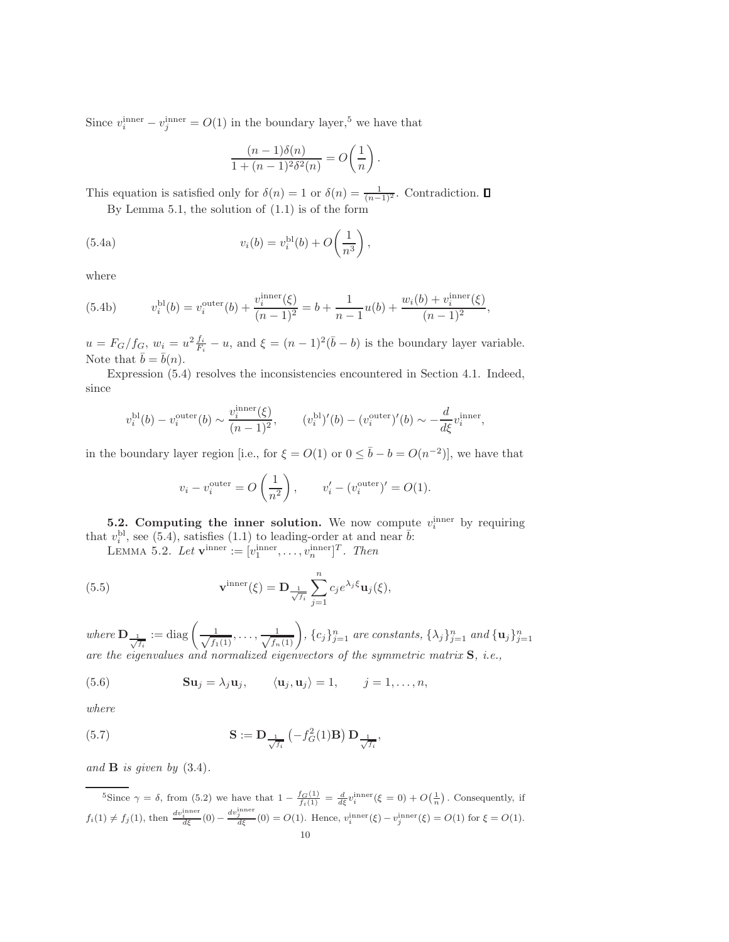Since  $v_i^{\text{inner}} - v_j^{\text{inner}} = O(1)$  in the boundary layer,<sup>[5](#page-9-1)</sup> we have that

$$
\frac{(n-1)\delta(n)}{1+(n-1)^2\delta^2(n)}=O\bigg(\frac{1}{n}\bigg)\,.
$$

This equation is satisfied only for  $\delta(n) = 1$  or  $\delta(n) = \frac{1}{(n-1)^2}$ . Contradiction.

By Lemma [5.1,](#page-7-3) the solution of [\(1.1\)](#page-0-0) is of the form

(5.4a) 
$$
v_i(b) = v_i^{\text{bl}}(b) + O\left(\frac{1}{n^3}\right),
$$

where

(5.4b) 
$$
v_i^{\text{bl}}(b) = v_i^{\text{outer}}(b) + \frac{v_i^{\text{inner}}(\xi)}{(n-1)^2} = b + \frac{1}{n-1}u(b) + \frac{w_i(b) + v_i^{\text{inner}}(\xi)}{(n-1)^2},
$$

 $u = F_G/f_G$ ,  $w_i = u^2 \frac{f_i}{F_i} - u$ , and  $\xi = (n-1)^2(\bar{b} - b)$  is the boundary layer variable. Note that  $\bar{b} = \bar{b}(n)$ .

Expression [\(5.4\)](#page-13-3) resolves the inconsistencies encountered in Section [4.1.](#page-6-5) Indeed, since

$$
v_i^{\text{bl}}(b) - v_i^{\text{outer}}(b) \sim \frac{v_i^{\text{inner}}(\xi)}{(n-1)^2}, \qquad (v_i^{\text{bl}})'(b) - (v_i^{\text{outer}})'(b) \sim -\frac{d}{d\xi}v_i^{\text{inner}},
$$

in the boundary layer region [i.e., for  $\xi = O(1)$  or  $0 \le \bar{b} - b = O(n^{-2})$ ], we have that

<span id="page-9-3"></span>
$$
v_i - v_i^{\text{outer}} = O\left(\frac{1}{n^2}\right), \qquad v_i' - (v_i^{\text{outer}})' = O(1).
$$

<span id="page-9-0"></span>**5.2. Computing the inner solution.** We now compute  $v_i^{\text{inner}}$  by requiring that  $v_i^{\text{bl}}$ , see [\(5.4\)](#page-13-3), satisfies [\(1.1\)](#page-0-0) to leading-order at and near  $\bar{b}$ :

LEMMA 5.2. Let  $\mathbf{v}^{\text{inner}} := [v_1^{\text{inner}}, \dots, v_n^{\text{inner}}]^T$ . Then

(5.5) 
$$
\mathbf{v}^{\text{inner}}(\xi) = \mathbf{D}_{\frac{1}{\sqrt{f_i}}} \sum_{j=1}^{n} c_j e^{\lambda_j \xi} \mathbf{u}_j(\xi),
$$

where  $\mathbf{D}_{\frac{1}{\sqrt{f_i}}} := \text{diag}\left(\frac{1}{\sqrt{f_1}}\right)$  $\frac{1}{(f_1(1)}, \ldots, \frac{1}{\sqrt{f_n(1)}}\bigg)$ ,  $\{c_j\}_{j=1}^n$  are constants,  $\{\lambda_j\}_{j=1}^n$  and  $\{\mathbf{u}_j\}_{j=1}^n$ are the eigenvalues and normalized eigenvectors of the symmetric matrix S, i.e.,

(5.6) 
$$
\mathbf{S}\mathbf{u}_j = \lambda_j \mathbf{u}_j, \qquad \langle \mathbf{u}_j, \mathbf{u}_j \rangle = 1, \qquad j = 1, \ldots, n,
$$

<span id="page-9-2"></span>where

(5.7) 
$$
\mathbf{S} := \mathbf{D}_{\frac{1}{\sqrt{f_i}}} \left( -f_G^2(1)\mathbf{B} \right) \mathbf{D}_{\frac{1}{\sqrt{f_i}}},
$$

and  $\bf{B}$  is given by  $(3.4)$ .

<span id="page-9-1"></span>
$$
{}^{5}\text{Since } \gamma = \delta \text{, from (5.2) we have that } 1 - \frac{f_{G}(1)}{f_{i}(1)} = \frac{d}{d\xi}v_{i}^{\text{inner}}(\xi = 0) + O\left(\frac{1}{n}\right). \text{ Consequently, if}
$$
\n
$$
f_{i}(1) \neq f_{j}(1), \text{ then } \frac{dv_{i}^{\text{inner}}}{d\xi}(0) - \frac{dv_{j}^{\text{inner}}}{d\xi}(0) = O(1). \text{ Hence, } v_{i}^{\text{inner}}(\xi) - v_{j}^{\text{inner}}(\xi) = O(1) \text{ for } \xi = O(1).
$$
\n
$$
10
$$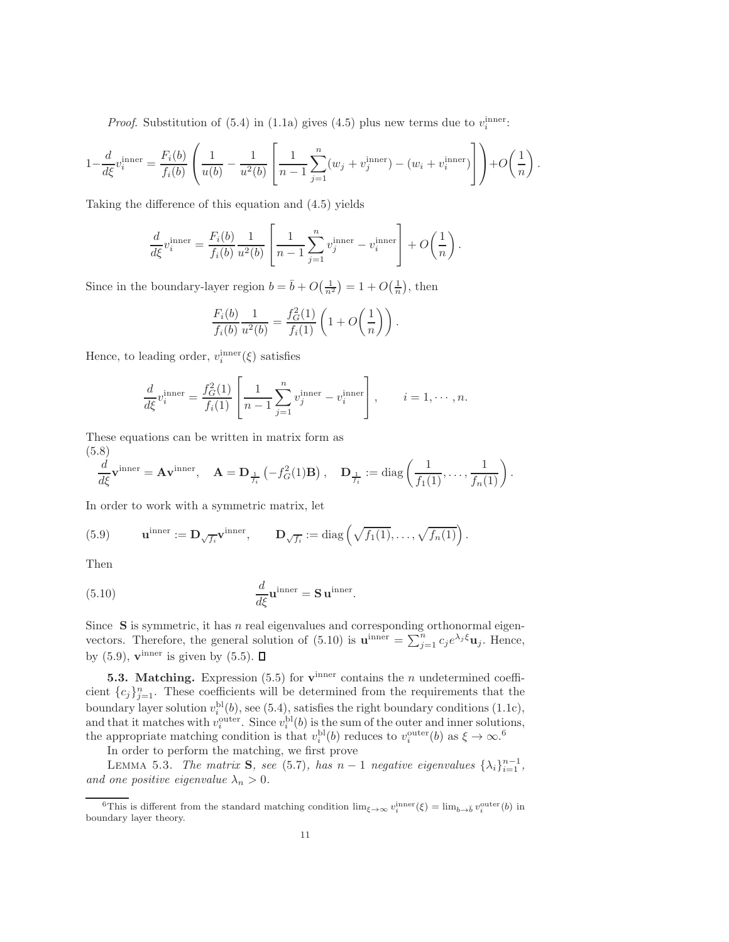*Proof.* Substitution of [\(5.4\)](#page-13-3) in [\(1.1a\)](#page-0-0) gives [\(4.5\)](#page-5-1) plus new terms due to  $v_i^{\text{inner}}$ :

$$
1 - \frac{d}{d\xi} v_i^{\text{inner}} = \frac{F_i(b)}{f_i(b)} \left( \frac{1}{u(b)} - \frac{1}{u^2(b)} \left[ \frac{1}{n-1} \sum_{j=1}^n (w_j + v_j^{\text{inner}}) - (w_i + v_i^{\text{inner}}) \right] \right) + O\left(\frac{1}{n}\right).
$$

Taking the difference of this equation and [\(4.5\)](#page-5-1) yields

$$
\frac{d}{d\xi}v_i^{\text{inner}} = \frac{F_i(b)}{f_i(b)} \frac{1}{u^2(b)} \left[ \frac{1}{n-1} \sum_{j=1}^n v_j^{\text{inner}} - v_i^{\text{inner}} \right] + O\left(\frac{1}{n}\right).
$$

Since in the boundary-layer region  $b = \bar{b} + O(\frac{1}{n^2}) = 1 + O(\frac{1}{n})$ , then

<span id="page-10-4"></span>
$$
\frac{F_i(b)}{f_i(b)} \frac{1}{u^2(b)} = \frac{f_G^2(1)}{f_i(1)} \left( 1 + O\left(\frac{1}{n}\right) \right).
$$

Hence, to leading order,  $v_i^{\text{inner}}(\xi)$  satisfies

<span id="page-10-2"></span>
$$
\frac{d}{d\xi}v_i^{\text{inner}} = \frac{f_G^2(1)}{f_i(1)} \left[ \frac{1}{n-1} \sum_{j=1}^n v_j^{\text{inner}} - v_i^{\text{inner}} \right], \qquad i = 1, \cdots, n.
$$

These equations can be written in matrix form as (5.8)

$$
\frac{d}{d\xi}\mathbf{v}^{\text{inner}} = \mathbf{A}\mathbf{v}^{\text{inner}}, \quad \mathbf{A} = \mathbf{D}_{\frac{1}{f_i}}\left(-f_G^2(1)\mathbf{B}\right), \quad \mathbf{D}_{\frac{1}{f_i}} := \text{diag}\left(\frac{1}{f_1(1)}, \dots, \frac{1}{f_n(1)}\right).
$$

In order to work with a symmetric matrix, let

(5.9) 
$$
\mathbf{u}^{\text{inner}} := \mathbf{D}_{\sqrt{f_i}} \mathbf{v}^{\text{inner}}, \qquad \mathbf{D}_{\sqrt{f_i}} := \text{diag}\left(\sqrt{f_1(1)}, \dots, \sqrt{f_n(1)}\right).
$$

<span id="page-10-1"></span>Then

(5.10) 
$$
\frac{d}{d\xi}\mathbf{u}^{\text{inner}} = \mathbf{S}\,\mathbf{u}^{\text{inner}}.
$$

Since  $S$  is symmetric, it has n real eigenvalues and corresponding orthonormal eigen-vectors. Therefore, the general solution of [\(5.10\)](#page-10-1) is  $\mathbf{u}^{\text{inner}} = \sum_{j=1}^{n} c_j e^{\lambda_j \xi} \mathbf{u}_j$ . Hence, by  $(5.9)$ ,  $\mathbf{v}^{\text{inner}}$  is given by  $(5.5)$ .

<span id="page-10-0"></span>**5.3. Matching.** Expression [\(5.5\)](#page-13-5) for  $\mathbf{v}^{\text{inner}}$  contains the *n* undetermined coefficient  ${c_j}_{j=1}^n$ . These coefficients will be determined from the requirements that the boundary layer solution  $v_i^{\text{bl}}(b)$ , see [\(5.4\)](#page-13-3), satisfies the right boundary conditions [\(1.1c\)](#page-0-2), and that it matches with  $v_i^{\text{outer}}$ . Since  $v_i^{\text{bl}}(b)$  is the sum of the outer and inner solutions, the appropriate matching condition is that  $v_i^{\text{bl}}(b)$  reduces to  $v_i^{\text{outer}}(b)$  as  $\xi \to \infty$ .<sup>[6](#page-10-3)</sup>

In order to perform the matching, we first prove

LEMMA 5.3. The matrix S, see [\(5.7\)](#page-9-2), has  $n-1$  negative eigenvalues  $\{\lambda_i\}_{i=1}^{n-1}$ , and one positive eigenvalue  $\lambda_n > 0$ .

<span id="page-10-3"></span><sup>&</sup>lt;sup>6</sup>This is different from the standard matching condition  $\lim_{\xi \to \infty} v_i^{\text{inner}}(\xi) = \lim_{b \to \bar{b}} v_i^{\text{outer}}(b)$  in boundary layer theory.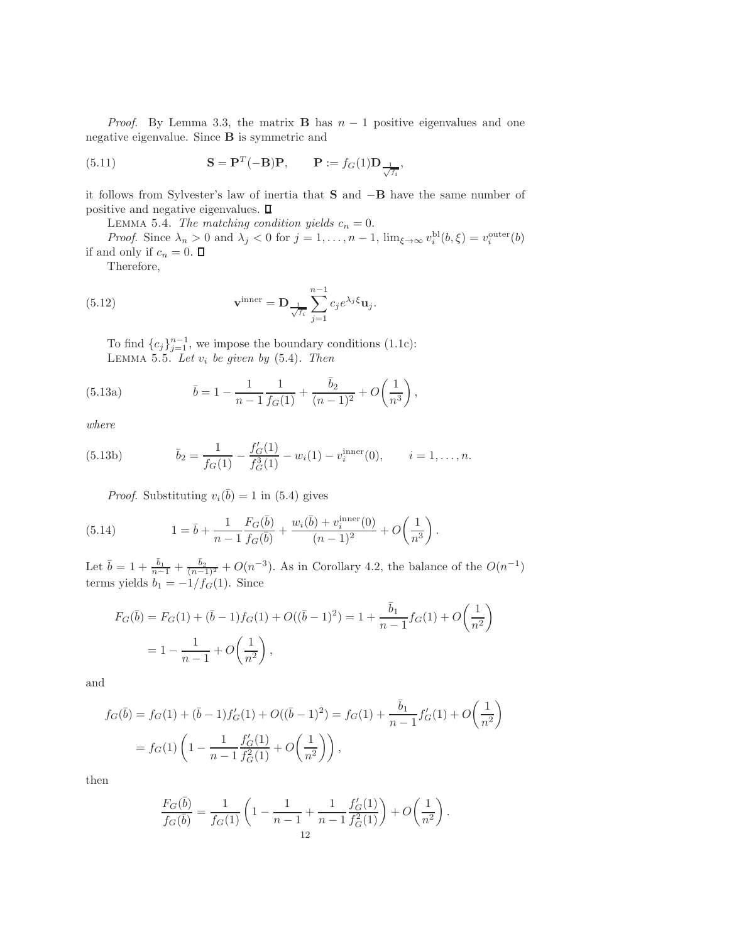*Proof.* By Lemma [3.3,](#page-3-6) the matrix **B** has  $n - 1$  positive eigenvalues and one negative eigenvalue. Since B is symmetric and

(5.11) 
$$
\mathbf{S} = \mathbf{P}^T(-\mathbf{B})\mathbf{P}, \qquad \mathbf{P} := f_G(1)\mathbf{D}_{\frac{1}{\sqrt{f_i}}},
$$

it follows from Sylvester's law of inertia that S and −B have the same number of positive and negative eigenvalues.  $\square$ 

LEMMA 5.4. The matching condition yields  $c_n = 0$ .

*Proof.* Since  $\lambda_n > 0$  and  $\lambda_j < 0$  for  $j = 1, ..., n - 1$ ,  $\lim_{\xi \to \infty} v_i^{\text{bl}}(b, \xi) = v_i^{\text{outer}}(b)$ if and only if  $c_n = 0$ .  $\Box$ 

<span id="page-11-1"></span>Therefore,

(5.12) 
$$
\mathbf{v}^{\text{inner}} = \mathbf{D}_{\frac{1}{\sqrt{f_i}}} \sum_{j=1}^{n-1} c_j e^{\lambda_j \xi} \mathbf{u}_j.
$$

<span id="page-11-2"></span>To find  ${c_j}_{j=1}^{n-1}$ , we impose the boundary conditions [\(1.1c\)](#page-0-2): LEMMA 5.5. Let  $v_i$  be given by  $(5.4)$ . Then

(5.13a) 
$$
\bar{b} = 1 - \frac{1}{n-1} \frac{1}{f_G(1)} + \frac{\bar{b}_2}{(n-1)^2} + O\left(\frac{1}{n^3}\right),
$$

where

(5.13b) 
$$
\bar{b}_2 = \frac{1}{f_G(1)} - \frac{f'_G(1)}{f_G^3(1)} - w_i(1) - v_i^{\text{inner}}(0), \qquad i = 1, ..., n.
$$

<span id="page-11-0"></span>*Proof.* Substituting  $v_i(\bar{b}) = 1$  in [\(5.4\)](#page-13-3) gives

(5.14) 
$$
1 = \bar{b} + \frac{1}{n-1} \frac{F_G(\bar{b})}{f_G(\bar{b})} + \frac{w_i(\bar{b}) + v_i^{\text{inner}}(0)}{(n-1)^2} + O\left(\frac{1}{n^3}\right).
$$

Let  $\bar{b} = 1 + \frac{\bar{b}_1}{n-1} + \frac{\bar{b}_2}{(n-1)^2} + O(n^{-3})$ . As in Corollary [4.2,](#page-6-6) the balance of the  $O(n^{-1})$ terms yields  $b_1 = -1/f_G(1)$ . Since

$$
F_G(\bar{b}) = F_G(1) + (\bar{b} - 1)f_G(1) + O((\bar{b} - 1)^2) = 1 + \frac{\bar{b}_1}{n - 1}f_G(1) + O\left(\frac{1}{n^2}\right)
$$
  
=  $1 - \frac{1}{n - 1} + O\left(\frac{1}{n^2}\right)$ ,

and

$$
f_G(\bar{b}) = f_G(1) + (\bar{b} - 1)f'_G(1) + O((\bar{b} - 1)^2) = f_G(1) + \frac{\bar{b}_1}{n - 1}f'_G(1) + O\left(\frac{1}{n^2}\right)
$$
  
=  $f_G(1)\left(1 - \frac{1}{n - 1}\frac{f'_G(1)}{f_G^2(1)} + O\left(\frac{1}{n^2}\right)\right)$ ,

then

$$
\frac{F_G(\bar{b})}{f_G(\bar{b})} = \frac{1}{f_G(1)} \left( 1 - \frac{1}{n-1} + \frac{1}{n-1} \frac{f'_G(1)}{f_G^2(1)} \right) + O\left(\frac{1}{n^2}\right).
$$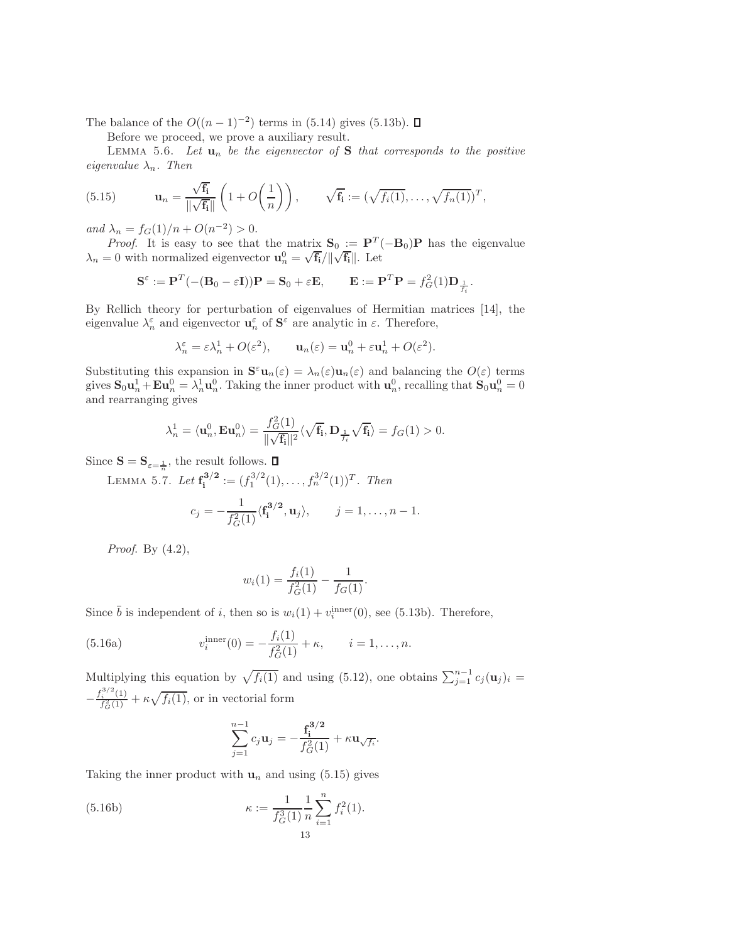The balance of the  $O((n-1)^{-2})$  terms in [\(5.14\)](#page-11-0) gives [\(5.13b\)](#page-13-4).

<span id="page-12-0"></span>Before we proceed, we prove a auxiliary result.

LEMMA 5.6. Let  $\mathbf{u}_n$  be the eigenvector of S that corresponds to the positive eigenvalue  $\lambda_n$ . Then

(5.15) 
$$
\mathbf{u}_n = \frac{\sqrt{\mathbf{f_i}}}{\|\sqrt{\mathbf{f_i}}\|} \left(1 + O\left(\frac{1}{n}\right)\right), \qquad \sqrt{\mathbf{f_i}} := (\sqrt{f_i(1)}, \dots, \sqrt{f_n(1)})^T,
$$

and  $\lambda_n = f_G(1)/n + O(n^{-2}) > 0$ .

*Proof.* It is easy to see that the matrix  $S_0 := P^T(-B_0)P$  has the eigenvalue  $\lambda_n = 0$  with normalized eigenvector  $\mathbf{u}_n^0 = \sqrt{\mathbf{f}_i}/\|\sqrt{\mathbf{f}_i}\|$ . Let

$$
\mathbf{S}^{\varepsilon} := \mathbf{P}^T(-(\mathbf{B}_0 - \varepsilon \mathbf{I}))\mathbf{P} = \mathbf{S}_0 + \varepsilon \mathbf{E}, \qquad \mathbf{E} := \mathbf{P}^T \mathbf{P} = f_G^2(1)\mathbf{D}_{\frac{1}{f_i}}.
$$

By Rellich theory for perturbation of eigenvalues of Hermitian matrices [\[14\]](#page-22-9), the eigenvalue  $\lambda_n^{\varepsilon}$  and eigenvector  $\mathbf{u}_n^{\varepsilon}$  of  $\mathbf{S}^{\varepsilon}$  are analytic in  $\varepsilon$ . Therefore,

$$
\lambda_n^{\varepsilon} = \varepsilon \lambda_n^1 + O(\varepsilon^2), \qquad \mathbf{u}_n(\varepsilon) = \mathbf{u}_n^0 + \varepsilon \mathbf{u}_n^1 + O(\varepsilon^2).
$$

Substituting this expansion in  $\mathbf{S}^{\varepsilon} \mathbf{u}_n(\varepsilon) = \lambda_n(\varepsilon) \mathbf{u}_n(\varepsilon)$  and balancing the  $O(\varepsilon)$  terms gives  $S_0 u_n^1 + E u_n^0 = \lambda_n^1 u_n^0$ . Taking the inner product with  $u_n^0$ , recalling that  $S_0 u_n^0 = 0$ and rearranging gives

$$
\lambda_n^1 = \langle \mathbf{u}_n^0, \mathbf{E}\mathbf{u}_n^0 \rangle = \frac{f_G^2(1)}{\|\sqrt{\mathbf{f_i}}\|^2} \langle \sqrt{\mathbf{f_i}}, \mathbf{D}_{\frac{1}{f_i}} \sqrt{\mathbf{f_i}} \rangle = f_G(1) > 0.
$$

Since  $\mathbf{S} = \mathbf{S}_{\varepsilon = \frac{1}{n}}$ , the result follows.

LEMMA 5.7. Let  $\mathbf{f}_{\mathbf{i}}^{3/2} := (f_1^{3/2}(1), \ldots, f_n^{3/2}(1))^T$ . Then

$$
c_j = -\frac{1}{f_G^2(1)} \langle \mathbf{f}_i^{3/2}, \mathbf{u}_j \rangle, \qquad j = 1, ..., n-1.
$$

Proof. By  $(4.2)$ ,

<span id="page-12-1"></span>
$$
w_i(1) = \frac{f_i(1)}{f_G^2(1)} - \frac{1}{f_G(1)}.
$$

Since  $\bar{b}$  is independent of i, then so is  $w_i(1) + v_i^{\text{inner}}(0)$ , see [\(5.13b\)](#page-13-4). Therefore,

(5.16a) 
$$
v_i^{\text{inner}}(0) = -\frac{f_i(1)}{f_G^2(1)} + \kappa, \qquad i = 1, ..., n.
$$

Multiplying this equation by  $\sqrt{f_i(1)}$  and using [\(5.12\)](#page-11-1), one obtains  $\sum_{j=1}^{n-1} c_j(\mathbf{u}_j)_i =$  $-\frac{f_i^{3/2}(1)}{f_G^2(1)}$  $\frac{i}{f_G^2(1)} + \kappa \sqrt{f_i(1)}$ , or in vectorial form

$$
\sum_{j=1}^{n-1} c_j \mathbf{u}_j = -\frac{\mathbf{f}_i^{3/2}}{f_G^2(1)} + \kappa \mathbf{u}_{\sqrt{f_i}}.
$$

Taking the inner product with  $\mathbf{u}_n$  and using [\(5.15\)](#page-12-0) gives

(5.16b) 
$$
\kappa := \frac{1}{f_G^3(1)} \frac{1}{n} \sum_{i=1}^n f_i^2(1).
$$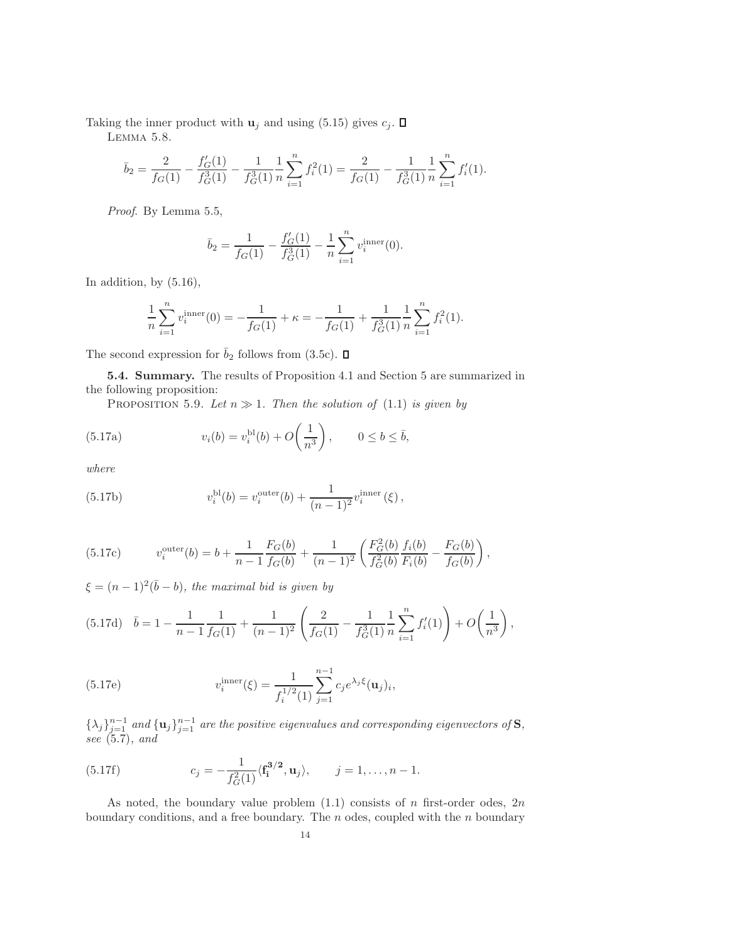Taking the inner product with  $\mathbf{u}_j$  and using [\(5.15\)](#page-12-0) gives  $c_j$ .  $\Box$ 

Lemma 5.8.

$$
\bar{b}_2 = \frac{2}{f_G(1)} - \frac{f'_G(1)}{f^3_G(1)} - \frac{1}{f^3_G(1)} \frac{1}{n} \sum_{i=1}^n f_i^2(1) = \frac{2}{f_G(1)} - \frac{1}{f^3_G(1)} \frac{1}{n} \sum_{i=1}^n f'_i(1).
$$

Proof. By Lemma [5.5,](#page-11-2)

<span id="page-13-1"></span>
$$
\bar{b}_2 = \frac{1}{f_G(1)} - \frac{f'_G(1)}{f_G^3(1)} - \frac{1}{n} \sum_{i=1}^n v_i^{\text{inner}}(0).
$$

In addition, by [\(5.16\)](#page-12-1),

<span id="page-13-6"></span>
$$
\frac{1}{n}\sum_{i=1}^{n}v_i^{\text{inner}}(0) = -\frac{1}{f_G(1)} + \kappa = -\frac{1}{f_G(1)} + \frac{1}{f_G^3(1)}\frac{1}{n}\sum_{i=1}^{n}f_i^2(1).
$$

<span id="page-13-0"></span>The second expression for  $\bar{b}_2$  follows from [\(3.5c\)](#page-4-5).  $\Box$ 

5.4. Summary. The results of Proposition [4.1](#page-4-4) and Section [5](#page-7-4) are summarized in the following proposition:

PROPOSITION 5.9. Let  $n \gg 1$ . Then the solution of [\(1.1\)](#page-0-0) is given by

(5.17a) 
$$
v_i(b) = v_i^{\text{bl}}(b) + O\left(\frac{1}{n^3}\right), \qquad 0 \le b \le \bar{b},
$$

<span id="page-13-4"></span>where

(5.17b) 
$$
v_i^{\text{bl}}(b) = v_i^{\text{outer}}(b) + \frac{1}{(n-1)^2} v_i^{\text{inner}}(\xi),
$$

<span id="page-13-2"></span>(5.17c) 
$$
v_i^{\text{outer}}(b) = b + \frac{1}{n-1} \frac{F_G(b)}{f_G(b)} + \frac{1}{(n-1)^2} \left( \frac{F_G^2(b)}{f_G^2(b)} \frac{f_i(b)}{F_i(b)} - \frac{F_G(b)}{f_G(b)} \right),
$$

<span id="page-13-3"></span> $\xi = (n-1)^2(\bar{b}-b)$ , the maximal bid is given by

$$
(5.17d) \quad \bar{b} = 1 - \frac{1}{n-1} \frac{1}{f_G(1)} + \frac{1}{(n-1)^2} \left( \frac{2}{f_G(1)} - \frac{1}{f_G^3(1)} \frac{1}{n} \sum_{i=1}^n f'_i(1) \right) + O\left(\frac{1}{n^3}\right),
$$

<span id="page-13-5"></span>(5.17e) 
$$
v_i^{\text{inner}}(\xi) = \frac{1}{f_i^{1/2}(1)} \sum_{j=1}^{n-1} c_j e^{\lambda_j \xi} (\mathbf{u}_j)_i,
$$

 $\{\lambda_j\}_{j=1}^{n-1}$  and  $\{\mathbf u_j\}_{j=1}^{n-1}$  are the positive eigenvalues and corresponding eigenvectors of S, see [\(5.7\)](#page-9-2), and

(5.17f) 
$$
c_j = -\frac{1}{f_G^2(1)} \langle \mathbf{f_i}^{3/2}, \mathbf{u}_j \rangle, \qquad j = 1, \dots, n-1.
$$

As noted, the boundary value problem  $(1.1)$  consists of n first-order odes,  $2n$ boundary conditions, and a free boundary. The  $n$  odes, coupled with the  $n$  boundary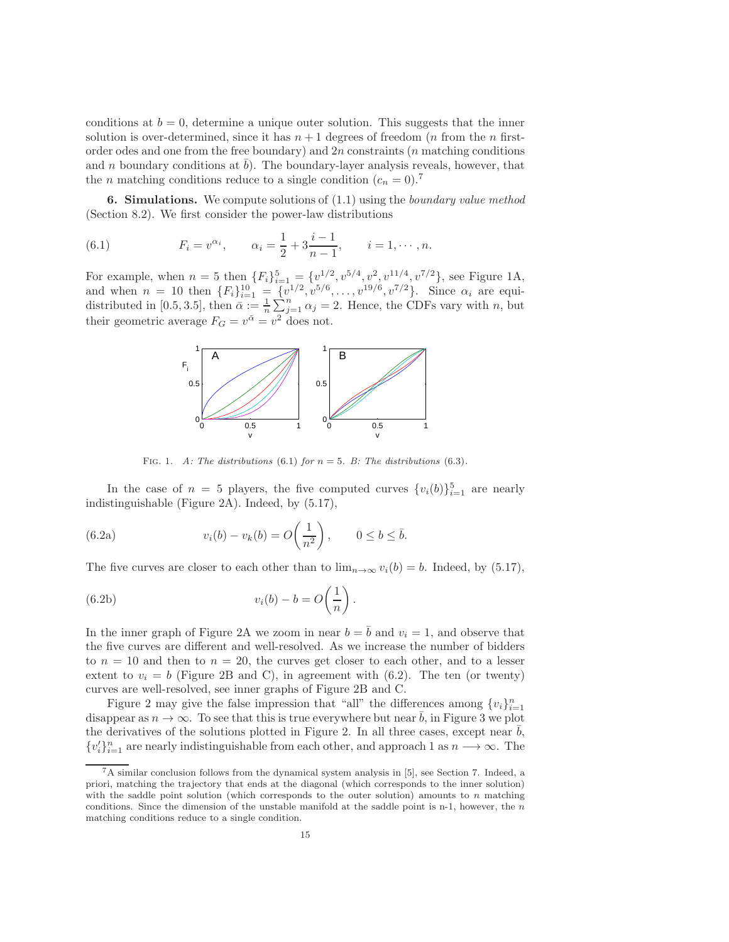conditions at  $b = 0$ , determine a unique outer solution. This suggests that the inner solution is over-determined, since it has  $n + 1$  degrees of freedom (*n* from the *n* firstorder odes and one from the free boundary) and  $2n$  constraints (*n* matching conditions and n boundary conditions at  $b$ ). The boundary-layer analysis reveals, however, that the *n* matching conditions reduce to a single condition  $(c_n = 0)$ .<sup>[7](#page-14-1)</sup>

<span id="page-14-0"></span>**6. Simulations.** We compute solutions of  $(1.1)$  using the *boundary value method* (Section [8.2\)](#page-20-0). We first consider the power-law distributions

(6.1) 
$$
F_i = v^{\alpha_i}, \qquad \alpha_i = \frac{1}{2} + 3\frac{i-1}{n-1}, \qquad i = 1, \cdots, n.
$$

For example, when  $n = 5$  then  $\{F_i\}_{i=1}^5 = \{v^{1/2}, v^{5/4}, v^2, v^{11/4}, v^{7/2}\}$ , see Figure [1A](#page-14-2), and when  $n = 10$  then  $\{F_i\}_{i=1}^{10} = \{v_1^{1/2}, v_5^{5/6}, \ldots, v_{19/6}, v_{7/2}\}\$ . Since  $\alpha_i$  are equidistributed in [0.5, 3.5], then  $\bar{\alpha} := \frac{1}{n} \sum_{j=1}^{n} \alpha_j = 2$ . Hence, the CDFs vary with n, but their geometric average  $F_G = v^{\bar{\alpha}} = v^2$  does not.



<span id="page-14-4"></span><span id="page-14-3"></span><span id="page-14-2"></span>FIG. 1. A: The distributions [\(6.1\)](#page-14-3) for  $n = 5$ . B: The distributions [\(6.3\)](#page-16-0).

In the case of  $n = 5$  players, the five computed curves  ${v_i(b)}_{i=1}^5$  are nearly indistinguishable (Figure [2A](#page-15-0)). Indeed, by [\(5.17\)](#page-13-1),

(6.2a) 
$$
v_i(b) - v_k(b) = O\left(\frac{1}{n^2}\right), \qquad 0 \le b \le \overline{b}.
$$

The five curves are closer to each other than to  $\lim_{n\to\infty} v_i(b) = b$ . Indeed, by [\(5.17\)](#page-13-1),

(6.2b) 
$$
v_i(b) - b = O\left(\frac{1}{n}\right).
$$

In the inner graph of Figure [2A](#page-15-0) we zoom in near  $b = \overline{b}$  and  $v_i = 1$ , and observe that the five curves are different and well-resolved. As we increase the number of bidders to  $n = 10$  and then to  $n = 20$ , the curves get closer to each other, and to a lesser extent to  $v_i = b$  (Figure [2B](#page-15-0) and C), in agreement with [\(6.2\)](#page-14-4). The ten (or twenty) curves are well-resolved, see inner graphs of Figure [2B](#page-15-0) and C.

Figure [2](#page-15-0) may give the false impression that "all" the differences among  $\{v_i\}_{i=1}^n$ disappear as  $n \to \infty$ . To see that this is true everywhere but near  $\overline{b}$ , in Figure [3](#page-15-1) we plot the derivatives of the solutions plotted in Figure [2.](#page-15-0) In all three cases, except near  $\overline{b}$ ,  ${v'_i}_{i=1}^n$  are nearly indistinguishable from each other, and approach 1 as  $n \longrightarrow \infty$ . The

<span id="page-14-1"></span> $7A$  similar conclusion follows from the dynamical system analysis in [\[5\]](#page-22-10), see Section [7.](#page-17-0) Indeed, a priori, matching the trajectory that ends at the diagonal (which corresponds to the inner solution) with the saddle point solution (which corresponds to the outer solution) amounts to n matching conditions. Since the dimension of the unstable manifold at the saddle point is n-1, however, the  $n$ matching conditions reduce to a single condition.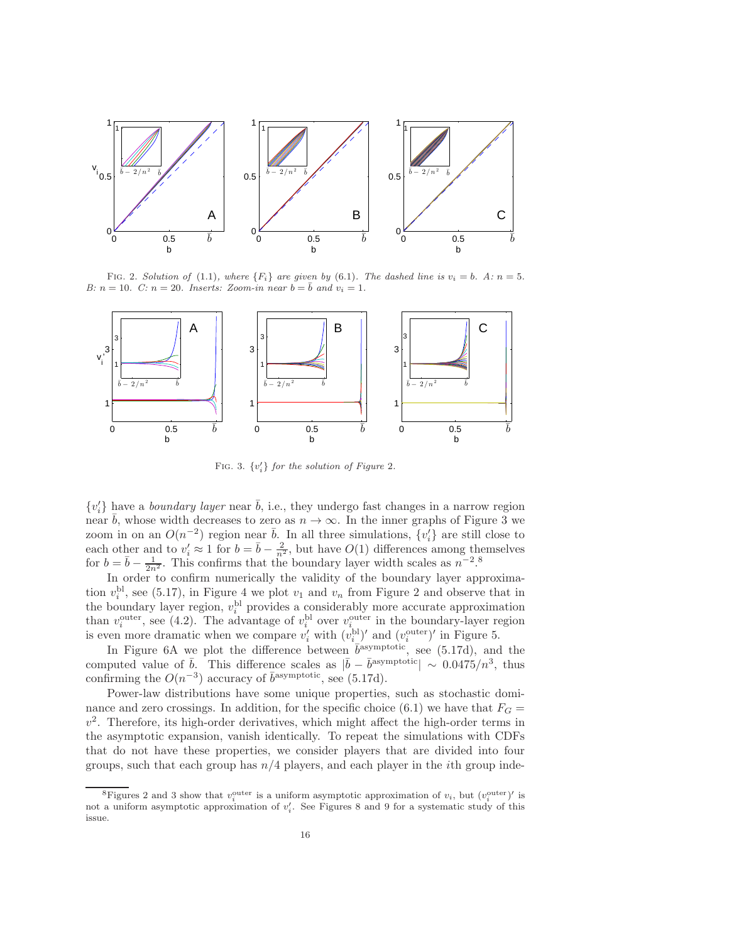

<span id="page-15-0"></span>FIG. 2. Solution of [\(1.1\)](#page-0-0), where  ${F_i}$  are given by [\(6.1\)](#page-14-3). The dashed line is  $v_i = b$ . A:  $n = 5$ . B:  $n = 10$ . C:  $n = 20$ . Inserts: Zoom-in near  $b = \overline{b}$  and  $v_i = 1$ .



<span id="page-15-1"></span>FIG. 3.  $\{v_i'\}$  for the solution of Figure [2](#page-15-0).

 $\{v_i'\}$  have a *boundary layer* near  $\bar{b}$ , i.e., they undergo fast changes in a narrow region near b, whose width decreases to zero as  $n \to \infty$ . In the inner graphs of Figure [3](#page-15-1) we zoom in on an  $O(n^{-2})$  region near  $\bar{b}$ . In all three simulations,  $\{v_i'\}$  are still close to each other and to  $v'_i \approx 1$  for  $b = \bar{b} - \frac{2}{n^2}$ , but have  $O(1)$  differences among themselves for  $b = \bar{b} - \frac{1}{2n^2}$ . This confirms that the boundary layer width scales as  $n^{-2}$ .<sup>[8](#page-15-2)</sup>

In order to confirm numerically the validity of the boundary layer approximation  $v_i^{\text{bl}}$ , see [\(5.17\)](#page-13-1), in Figure [4](#page-16-1) we plot  $v_1$  and  $v_n$  from Figure [2](#page-15-0) and observe that in the boundary layer region,  $v_i^{\text{bl}}$  provides a considerably more accurate approximation than  $v_i^{\text{outer}}$ , see [\(4.2\)](#page-4-3). The advantage of  $v_i^{\text{bl}}$  over  $v_{i}^{\text{outer}}$  in the boundary-layer region is even more dramatic when we compare  $v_i'$  with  $(v_i^{\text{bl}})'$  and  $(v_i^{\text{outer}})'$  in Figure [5.](#page-16-2)

In Figure [6A](#page-16-3) we plot the difference between  $\bar{b}^{\text{asymptotic}}$ , see [\(5.17d\)](#page-13-3), and the computed value of  $\bar{b}$ . This difference scales as  $|\bar{b} - \bar{b}$ <sup>asymptotic</sup>| ∼ 0.0475/n<sup>3</sup>, thus confirming the  $O(n^{-3})$  accuracy of  $\bar{b}^{\text{asymptotic}}$ , see [\(5.17d\)](#page-13-3).

Power-law distributions have some unique properties, such as stochastic domi-nance and zero crossings. In addition, for the specific choice [\(6.1\)](#page-14-3) we have that  $F<sub>G</sub>$  =  $v^2$ . Therefore, its high-order derivatives, which might affect the high-order terms in the asymptotic expansion, vanish identically. To repeat the simulations with CDFs that do not have these properties, we consider players that are divided into four groups, such that each group has  $n/4$  players, and each player in the *i*th group inde-

<span id="page-15-2"></span><sup>&</sup>lt;sup>8</sup>Figures [2](#page-15-0) and [3](#page-15-1) show that  $v_i^{\text{outer}}$  is a uniform asymptotic approximation of  $v_i$ , but  $(v_i^{\text{outer}})'$  is not a uniform asymptotic approximation of  $v'_i$ . See Figures [8](#page-17-1) and [9](#page-18-0) for a systematic study of this issue.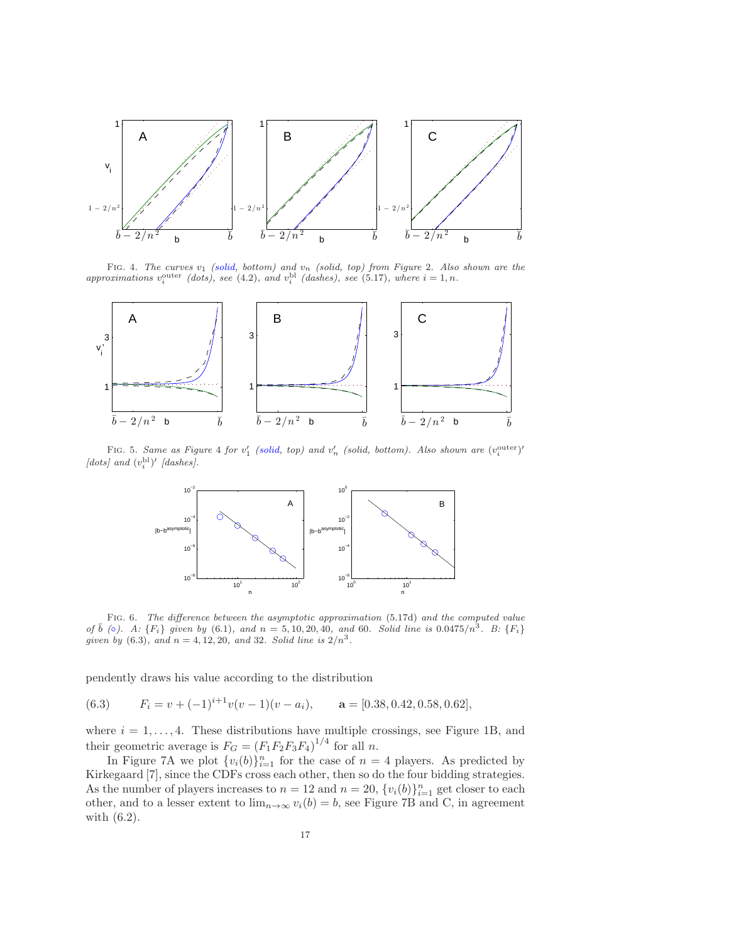

<span id="page-16-1"></span>FIG. 4. The curves  $v_1$  (solid, bottom) and  $v_n$  (solid, top) from Figure [2](#page-15-0). Also shown are the approximations  $v_i^{\text{outer}}$  (dots), see [\(4.2\)](#page-4-3), and  $v_i^{\text{bl}}$  (dashes), see [\(5.17\)](#page-13-1), where  $i = 1, n$ .



FIG. 5. Same as Figure [4](#page-16-1) for  $v'_1$  (solid, top) and  $v'_n$  (solid, bottom). Also shown are  $(v_i^{\text{outer}})'$ [dots] and  $(v_i^{\text{bl}})'$  [dashes].

<span id="page-16-2"></span>

<span id="page-16-3"></span>Fig. 6. The difference between the asymptotic approximation [\(5.17d\)](#page-13-3) and the computed value of  $\bar{b}$  ( $\circ$ ). A:  $\{F_i\}$  given by [\(6.1\)](#page-14-3), and  $n = 5, 10, 20, 40$ , and 60. Solid line is  $0.0475/n^3$ . B:  $\{F_i\}$ given by [\(6.3\)](#page-16-0), and  $n = 4, 12, 20$ , and 32. Solid line is  $2/n^3$ .

<span id="page-16-0"></span>pendently draws his value according to the distribution

(6.3)  $F_i = v + (-1)^{i+1}v(v-1)(v-a_i), \quad \mathbf{a} = [0.38, 0.42, 0.58, 0.62],$ 

where  $i = 1, \ldots, 4$ . These distributions have multiple crossings, see Figure [1B](#page-14-2), and their geometric average is  $F_G = (F_1 F_2 F_3 F_4)^{1/4}$  for all n.

In Figure [7A](#page-17-2) we plot  $\{v_i(b)\}_{i=1}^n$  for the case of  $n = 4$  players. As predicted by Kirkegaard [\[7\]](#page-22-11), since the CDFs cross each other, then so do the four bidding strategies. As the number of players increases to  $n = 12$  and  $n = 20$ ,  $\{v_i(b)\}_{i=1}^n$  get closer to each other, and to a lesser extent to  $\lim_{n\to\infty} v_i(b) = b$ , see Figure [7B](#page-17-2) and C, in agreement with [\(6.2\)](#page-14-4).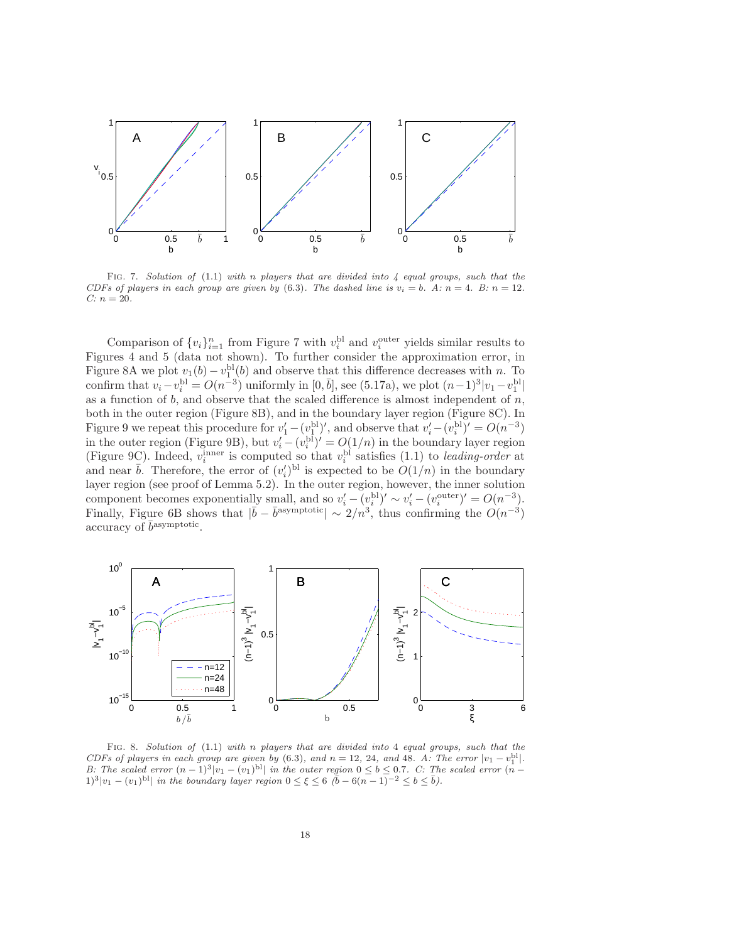

<span id="page-17-2"></span>FIG. 7. Solution of  $(1.1)$  with n players that are divided into 4 equal groups, such that the CDFs of players in each group are given by [\(6.3\)](#page-16-0). The dashed line is  $v_i = b$ . A:  $n = 4$ . B:  $n = 12$ . C:  $n = 20$ .

Comparison of  $\{v_i\}_{i=1}^n$  from Figure [7](#page-17-2) with  $v_i^{\text{bl}}$  and  $v_i^{\text{outer}}$  yields similar results to Figures [4](#page-16-1) and [5](#page-16-2) (data not shown). To further consider the approximation error, in Figure [8A](#page-17-1) we plot  $v_1(b) - v_1^{bl}(b)$  and observe that this difference decreases with n. To confirm that  $v_i - v_i^{\text{bl}} = O(n^{-3})$  uniformly in  $[0, \bar{b}]$ , see [\(5.17a\)](#page-13-1), we plot  $(n-1)^3 |v_1 - v_1^{\text{bl}}|$ as a function of  $b$ , and observe that the scaled difference is almost independent of  $n$ , both in the outer region (Figure [8B](#page-17-1)), and in the boundary layer region (Figure [8C](#page-17-1)). In Figure [9](#page-18-0) we repeat this procedure for  $v'_1 - (v_1^{\text{bl}})'$ , and observe that  $v'_i - (v_i^{\text{bl}})' = O(n^{-3})$ in the outer region (Figure [9B](#page-18-0)), but  $v_i' - (v_i^{\text{bl}})' = O(1/n)$  in the boundary layer region (Figure [9C](#page-18-0)). Indeed,  $v_i^{\text{inner}}$  is computed so that  $v_i^{\text{bl}}$  satisfies [\(1.1\)](#page-0-0) to leading-order at and near  $\bar{b}$ . Therefore, the error of  $(v'_i)^{bl}$  is expected to be  $O(1/n)$  in the boundary layer region (see proof of Lemma [5.2\)](#page-9-3). In the outer region, however, the inner solution component becomes exponentially small, and so  $v_i' - (v_i^{bl})' \sim v_i' - (v_i^{outer})' = O(n^{-3})$ . Finally, Figure [6B](#page-16-3) shows that  $|\bar{b} - \bar{b}^{\text{asymptotic}}| \sim 2/n^3$ , thus confirming the  $O(n^{-3})$ accuracy of  $\bar{b}$ <sup>asymptotic</sup>.



<span id="page-17-1"></span><span id="page-17-0"></span>FIG. 8. Solution of  $(1.1)$  with n players that are divided into 4 equal groups, such that the CDFs of players in each group are given by [\(6.3\)](#page-16-0), and  $n = 12, 24,$  and 48. A: The error  $|v_1 - v_1^{bl}|$ . B: The scaled error  $(n-1)^3|v_1-(v_1)^{bl}|$  in the outer region  $0 \le b \le 0.7$ . C: The scaled error  $(n-1)^3|v_1-(v_1)^{bl}|$  $1)^3|v_1-(v_1)^{bl}|$  in the boundary layer region  $0 \leq \xi \leq 6 \quad (b-6(n-1)^{-2} \leq b \leq b)$ .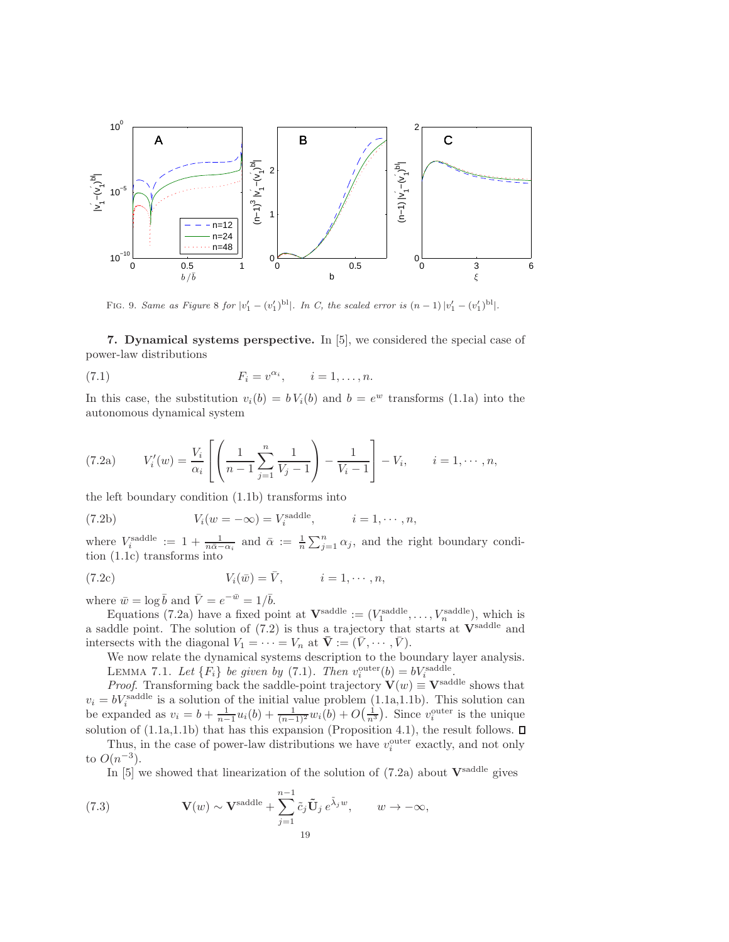

<span id="page-18-0"></span>FIG. 9. Same as Figure [8](#page-17-1) for  $|v'_1 - (v'_1)^{bl}|$ . In C, the scaled error is  $(n-1)|v'_1 - (v'_1)^{bl}|$ .

7. Dynamical systems perspective. In [\[5\]](#page-22-10), we considered the special case of power-law distributions

$$
(7.1) \t\t\t F_i = v^{\alpha_i}, \t i = 1, \ldots, n.
$$

<span id="page-18-1"></span>In this case, the substitution  $v_i(b) = b V_i(b)$  and  $b = e^w$  transforms [\(1.1a\)](#page-0-0) into the autonomous dynamical system

(7.2a) 
$$
V'_{i}(w) = \frac{V_{i}}{\alpha_{i}} \left[ \left( \frac{1}{n-1} \sum_{j=1}^{n} \frac{1}{V_{j}-1} \right) - \frac{1}{V_{i}-1} \right] - V_{i}, \quad i = 1, \cdots, n,
$$

the left boundary condition [\(1.1b\)](#page-0-1) transforms into

<span id="page-18-2"></span>(7.2b) 
$$
V_i(w = -\infty) = V_i^{\text{saddle}}, \qquad i = 1, \cdots, n,
$$

where  $V_i^{\text{saddle}} := 1 + \frac{1}{n\bar{\alpha} - \alpha_i}$  and  $\bar{\alpha} := \frac{1}{n} \sum_{j=1}^n \alpha_j$ , and the right boundary condition [\(1.1c\)](#page-0-2) transforms into

(7.2c) 
$$
V_i(\bar{w}) = \bar{V}, \qquad i = 1, \cdots, n,
$$

where  $\bar{w} = \log \bar{b}$  and  $\bar{V} = e^{-\bar{w}} = 1/\bar{b}$ .

Equations [\(7.2a\)](#page-18-1) have a fixed point at  $\mathbf{V}^{\text{saddle}} := (V_1^{\text{saddle}}, \dots, V_n^{\text{saddle}})$ , which is a saddle point. The solution of  $(7.2)$  is thus a trajectory that starts at  $V^{\text{saddle}}$  and intersects with the diagonal  $V_1 = \cdots = V_n$  at  $\bar{\mathbf{V}} := (\bar{V}, \cdots, \bar{V})$ .

<span id="page-18-4"></span>We now relate the dynamical systems description to the boundary layer analysis. LEMMA 7.1. Let  $\{F_i\}$  be given by [\(7.1\)](#page-18-1). Then  $v_i^{\text{outer}}(b) = bV_i^{\text{saddle}}$ .

*Proof.* Transforming back the saddle-point trajectory  $\mathbf{V}(w) \equiv \mathbf{V}^{\text{saddle}}$  shows that  $v_i = bV_i^{\text{saddle}}$  is a solution of the initial value problem [\(1.1a](#page-0-0)[,1.1b\)](#page-0-1). This solution can be expanded as  $v_i = b + \frac{1}{n-1}u_i(b) + \frac{1}{(n-1)^2}w_i(b) + O(\frac{1}{n^3})$ . Since  $v_i^{\text{outer}}$  is the unique solution of  $(1.1a,1.1b)$  $(1.1a,1.1b)$  that has this expansion (Proposition [4.1\)](#page-4-4), the result follows.  $\square$ 

Thus, in the case of power-law distributions we have  $v_i^{\text{outer}}$  exactly, and not only to  $O(n^{-3})$ .

<span id="page-18-3"></span>In  $[5]$  we showed that linearization of the solution of  $(7.2a)$  about  $V^{\text{saddle}}$  gives

(7.3) 
$$
\mathbf{V}(w) \sim \mathbf{V}^{\text{saddle}} + \sum_{j=1}^{n-1} \tilde{c}_j \tilde{\mathbf{U}}_j e^{\tilde{\lambda}_j w}, \qquad w \to -\infty,
$$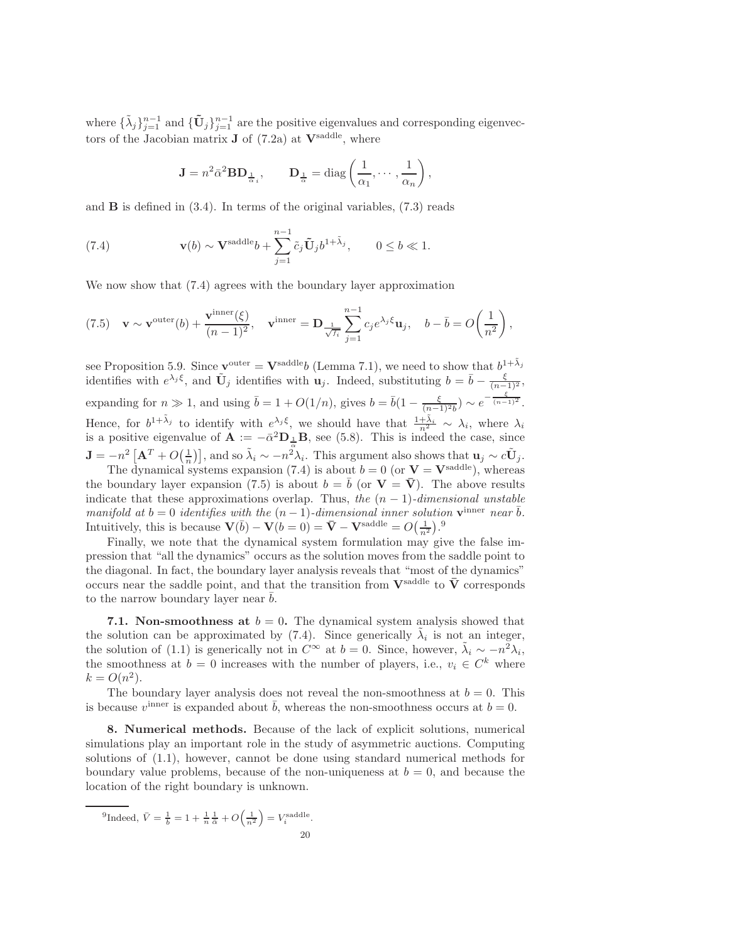where  $\{\tilde{\lambda}_j\}_{j=1}^{n-1}$  and  $\{\tilde{\mathbf{U}}_j\}_{j=1}^{n-1}$  are the positive eigenvalues and corresponding eigenvectors of the Jacobian matrix  $J$  of [\(7.2a\)](#page-18-1) at  $V^{\text{saddle}}$ , where

<span id="page-19-2"></span><span id="page-19-1"></span>
$$
\mathbf{J} = n^2 \bar{\alpha}^2 \mathbf{B} \mathbf{D}_{\frac{1}{\alpha}i}, \qquad \mathbf{D}_{\frac{1}{\alpha}} = \text{diag}\left(\frac{1}{\alpha_1}, \cdots, \frac{1}{\alpha_n}\right),
$$

and  $\bf{B}$  is defined in [\(3.4\)](#page-3-5). In terms of the original variables, [\(7.3\)](#page-18-3) reads

(7.4) 
$$
\mathbf{v}(b) \sim \mathbf{V}^{\text{saddle}}b + \sum_{j=1}^{n-1} \tilde{c}_j \tilde{\mathbf{U}}_j b^{1+\tilde{\lambda}_j}, \qquad 0 \le b \ll 1.
$$

We now show that [\(7.4\)](#page-19-1) agrees with the boundary layer approximation

(7.5) 
$$
\mathbf{v} \sim \mathbf{v}^{\text{outer}}(b) + \frac{\mathbf{v}^{\text{inner}}(\xi)}{(n-1)^2}, \quad \mathbf{v}^{\text{inner}} = \mathbf{D} \frac{1}{\sqrt{f_i}} \sum_{j=1}^{n-1} c_j e^{\lambda_j \xi} \mathbf{u}_j, \quad b - \bar{b} = O\left(\frac{1}{n^2}\right),
$$

see Proposition [5.9.](#page-13-6) Since  $\mathbf{v}^{\text{outer}} = \mathbf{V}^{\text{saddle}} b$  (Lemma [7.1\)](#page-18-4), we need to show that  $b^{1+\tilde{\lambda}_j}$ identifies with  $e^{\lambda_j \xi}$ , and  $\tilde{U}_j$  identifies with  $u_j$ . Indeed, substituting  $b = \bar{b} - \frac{\xi}{(n-1)^2}$ , expanding for  $n \gg 1$ , and using  $\bar{b} = 1 + O(1/n)$ , gives  $b = \bar{b}(1 - \frac{\xi}{(n-1)^2 b}) \sim e^{-\frac{\xi}{(n-1)^2}}$ . Hence, for  $b^{1+\tilde{\lambda}_j}$  to identify with  $e^{\lambda_j \xi}$ , we should have that  $\frac{1+\tilde{\lambda}_i}{n^2} \sim \lambda_i$ , where  $\lambda_i$ is a positive eigenvalue of  $\mathbf{A} := -\bar{\alpha}^2 \mathbf{D}_{\frac{1}{\alpha}} \mathbf{B}$ , see [\(5.8\)](#page-10-4). This is indeed the case, since  $\mathbf{J} = -n^2 \left[ \mathbf{A}^T + O\left(\frac{1}{n}\right) \right]$ , and so  $\tilde{\lambda}_i \sim -n^2 \lambda_i$ . This argument also shows that  $\mathbf{u}_j \sim c \tilde{\mathbf{U}}_j$ .

The dynamical systems expansion [\(7.4\)](#page-19-1) is about  $b = 0$  (or  $V = V^{\text{saddle}}$ ), whereas the boundary layer expansion [\(7.5\)](#page-19-2) is about  $b = \bar{b}$  (or  $V = \bar{V}$ ). The above results indicate that these approximations overlap. Thus, the  $(n-1)$ -dimensional unstable manifold at  $b = 0$  identifies with the  $(n - 1)$ -dimensional inner solution  $\mathbf{v}^{\text{inner}}$  near  $\bar{b}$ . Intuitively, this is because  $\mathbf{V}(\bar{b}) - \mathbf{V}(b=0) = \bar{\mathbf{V}} - \mathbf{V}^{\text{saddle}} = O(\frac{1}{n^2})$ .<sup>[9](#page-19-3)</sup>

Finally, we note that the dynamical system formulation may give the false impression that "all the dynamics" occurs as the solution moves from the saddle point to the diagonal. In fact, the boundary layer analysis reveals that "most of the dynamics" occurs near the saddle point, and that the transition from  $V^{\text{saddle}}$  to  $\overline{V}$  corresponds to the narrow boundary layer near  $b$ .

7.1. Non-smoothness at  $b = 0$ . The dynamical system analysis showed that the solution can be approximated by [\(7.4\)](#page-19-1). Since generically  $\tilde{\lambda}_i$  is not an integer, the solution of [\(1.1\)](#page-0-0) is generically not in  $C^{\infty}$  at  $b = 0$ . Since, however,  $\tilde{\lambda}_i \sim -n^2 \lambda_i$ , the smoothness at  $b = 0$  increases with the number of players, i.e.,  $v_i \in C^k$  where  $k = O(n^2)$ .

The boundary layer analysis does not reveal the non-smoothness at  $b = 0$ . This is because  $v^{\text{inner}}$  is expanded about  $\bar{b}$ , whereas the non-smoothness occurs at  $b = 0$ .

<span id="page-19-0"></span>8. Numerical methods. Because of the lack of explicit solutions, numerical simulations play an important role in the study of asymmetric auctions. Computing solutions of [\(1.1\)](#page-0-0), however, cannot be done using standard numerical methods for boundary value problems, because of the non-uniqueness at  $b = 0$ , and because the location of the right boundary is unknown.

<span id="page-19-3"></span><sup>9</sup>Indeed, 
$$
\bar{V} = \frac{1}{b} = 1 + \frac{1}{n} \frac{1}{\bar{\alpha}} + O\left(\frac{1}{n^2}\right) = V_i^{\text{saddle}}.
$$
  
20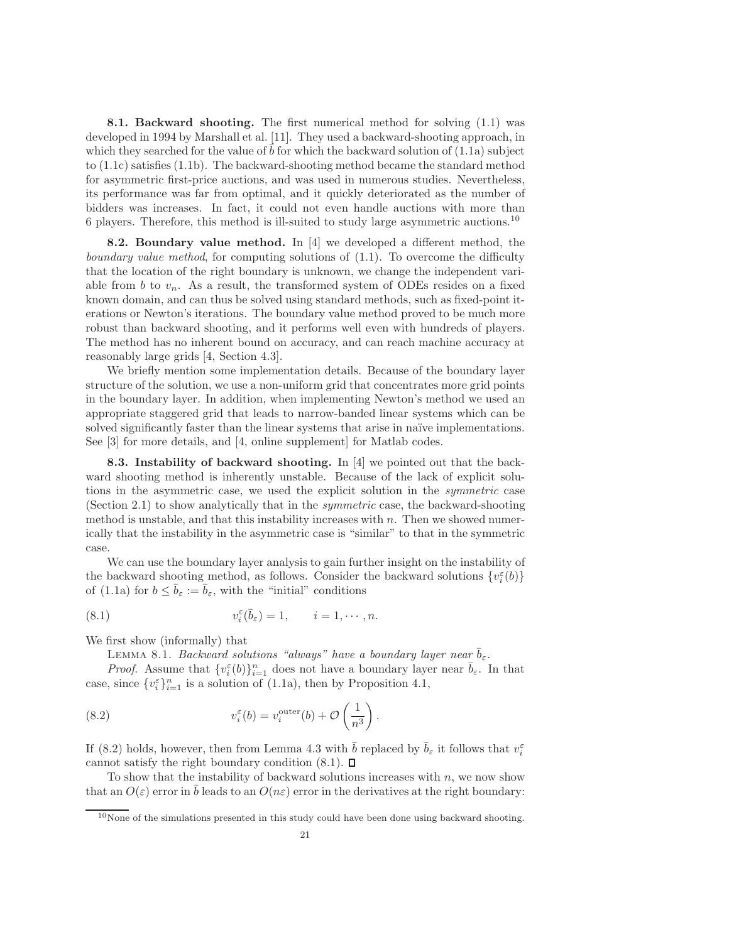8.1. Backward shooting. The first numerical method for solving [\(1.1\)](#page-0-0) was developed in 1994 by Marshall et al. [\[11\]](#page-22-12). They used a backward-shooting approach, in which they searched for the value of  $b$  for which the backward solution of  $(1.1a)$  subject to [\(1.1c\)](#page-0-2) satisfies [\(1.1b\)](#page-0-1). The backward-shooting method became the standard method for asymmetric first-price auctions, and was used in numerous studies. Nevertheless, its performance was far from optimal, and it quickly deteriorated as the number of bidders was increases. In fact, it could not even handle auctions with more than 6 players. Therefore, this method is ill-suited to study large asymmetric auctions.[10](#page-20-1)

<span id="page-20-0"></span>8.2. Boundary value method. In [\[4\]](#page-22-13) we developed a different method, the boundary value method, for computing solutions of  $(1.1)$ . To overcome the difficulty that the location of the right boundary is unknown, we change the independent variable from b to  $v_n$ . As a result, the transformed system of ODEs resides on a fixed known domain, and can thus be solved using standard methods, such as fixed-point iterations or Newton's iterations. The boundary value method proved to be much more robust than backward shooting, and it performs well even with hundreds of players. The method has no inherent bound on accuracy, and can reach machine accuracy at reasonably large grids [\[4,](#page-22-13) Section 4.3].

We briefly mention some implementation details. Because of the boundary layer structure of the solution, we use a non-uniform grid that concentrates more grid points in the boundary layer. In addition, when implementing Newton's method we used an appropriate staggered grid that leads to narrow-banded linear systems which can be solved significantly faster than the linear systems that arise in naïve implementations. See [\[3\]](#page-22-14) for more details, and [\[4,](#page-22-13) online supplement] for Matlab codes.

8.3. Instability of backward shooting. In [\[4\]](#page-22-13) we pointed out that the backward shooting method is inherently unstable. Because of the lack of explicit solutions in the asymmetric case, we used the explicit solution in the symmetric case (Section [2.1\)](#page-3-0) to show analytically that in the symmetric case, the backward-shooting method is unstable, and that this instability increases with  $n$ . Then we showed numerically that the instability in the asymmetric case is "similar" to that in the symmetric case.

We can use the boundary layer analysis to gain further insight on the instability of the backward shooting method, as follows. Consider the backward solutions  $\{v_i^{\varepsilon}(b)\}$ of [\(1.1a\)](#page-0-0) for  $b \leq \bar{b}_{\varepsilon} := \bar{b}_{\varepsilon}$ , with the "initial" conditions

(8.1) 
$$
v_i^{\varepsilon}(\bar{b}_{\varepsilon}) = 1, \qquad i = 1, \cdots, n.
$$

We first show (informally) that

<span id="page-20-3"></span><span id="page-20-2"></span>LEMMA 8.1. Backward solutions "always" have a boundary layer near  $\bar{b}_{\varepsilon}$ .

*Proof.* Assume that  $\{v_i^{\varepsilon}(b)\}_{i=1}^n$  does not have a boundary layer near  $\bar{b}_{\varepsilon}$ . In that case, since  $\{v_i^{\varepsilon}\}_{i=1}^n$  is a solution of [\(1.1a\)](#page-0-0), then by Proposition [4.1,](#page-4-4)

(8.2) 
$$
v_i^{\varepsilon}(b) = v_i^{\text{outer}}(b) + \mathcal{O}\left(\frac{1}{n^3}\right).
$$

If [\(8.2\)](#page-20-2) holds, however, then from Lemma [4.3](#page-6-7) with  $\bar{b}$  replaced by  $\bar{b}_{\varepsilon}$  it follows that  $v_i^{\varepsilon}$ cannot satisfy the right boundary condition  $(8.1)$ .  $\Box$ 

To show that the instability of backward solutions increases with  $n$ , we now show that an  $O(\varepsilon)$  error in b leads to an  $O(n\varepsilon)$  error in the derivatives at the right boundary:

<span id="page-20-1"></span> $10$ None of the simulations presented in this study could have been done using backward shooting.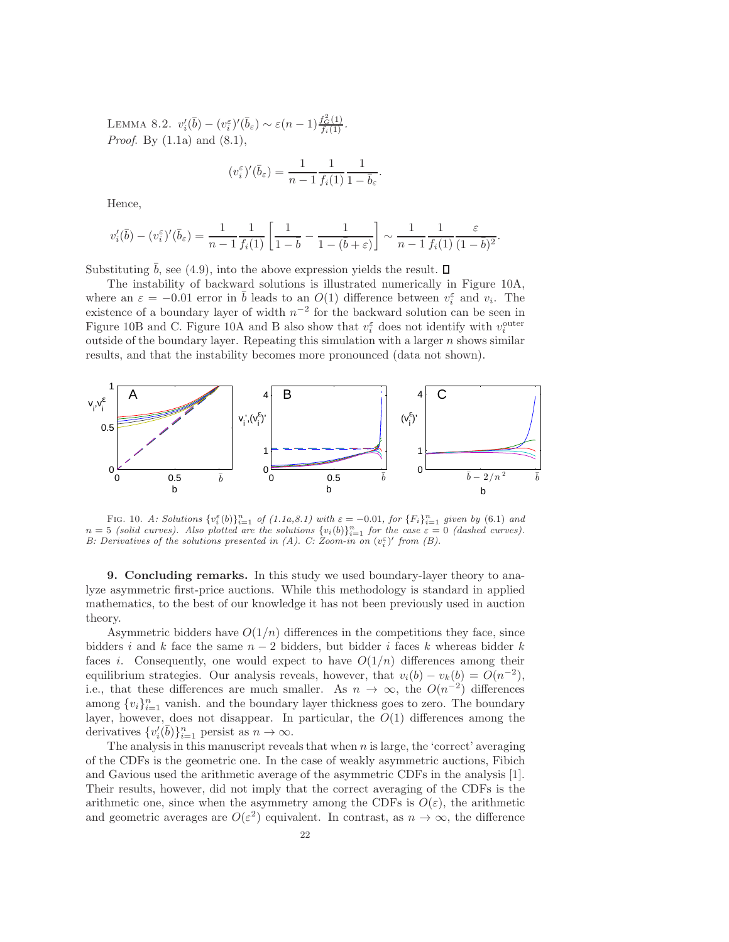LEMMA 8.2.  $v_i'(\bar{b}) - (v_i^{\varepsilon})'(\bar{b}_{\varepsilon}) \sim \varepsilon (n-1) \frac{f_G^2(1)}{f_i(1)}$ . *Proof.* By  $(1.1a)$  and  $(8.1)$ ,

$$
(v_i^{\varepsilon})'(\bar{b}_{\varepsilon}) = \frac{1}{n-1} \frac{1}{f_i(1)} \frac{1}{1-\bar{b}_{\varepsilon}}.
$$

Hence,

$$
v_i'(\bar{b}) - (v_i^{\varepsilon})'(\bar{b}_{\varepsilon}) = \frac{1}{n-1} \frac{1}{f_i(1)} \left[ \frac{1}{1-\bar{b}} - \frac{1}{1-(\bar{b}+\varepsilon)} \right] \sim \frac{1}{n-1} \frac{1}{f_i(1)} \frac{\varepsilon}{(1-\bar{b})^2}.
$$

Substituting b, see [\(4.9\)](#page-6-3), into the above expression yields the result.  $\square$ 

The instability of backward solutions is illustrated numerically in Figure [10A](#page-21-1), where an  $\varepsilon = -0.01$  error in  $\bar{b}$  leads to an  $O(1)$  difference between  $v_i^{\varepsilon}$  and  $v_i$ . The existence of a boundary layer of width  $n^{-2}$  for the backward solution can be seen in Figure [10B](#page-21-1) and C. Figure [10A](#page-21-1) and B also show that  $v_i^{\varepsilon}$  does not identify with  $v_i^{\text{outer}}$ outside of the boundary layer. Repeating this simulation with a larger  $n$  shows similar results, and that the instability becomes more pronounced (data not shown).



<span id="page-21-1"></span>FIG. 10. A: Solutions  $\{v_i^{\varepsilon}(b)\}_{i=1}^n$  of  $(1.1a,8.1)$  $(1.1a,8.1)$  with  $\varepsilon = -0.01$ , for  $\{F_i\}_{i=1}^n$  given by  $(6.1)$  and  $n=5$  (solid curves). Also plotted are the solutions  $\{v_i(b)\}_{i=1}^n$  for the case  $\varepsilon=0$  (dashed curves). B: Derivatives of the solutions presented in (A). C:  $Z$ oom-in on  $(v_i^{\varepsilon})'$  from (B).

<span id="page-21-0"></span>9. Concluding remarks. In this study we used boundary-layer theory to analyze asymmetric first-price auctions. While this methodology is standard in applied mathematics, to the best of our knowledge it has not been previously used in auction theory.

Asymmetric bidders have  $O(1/n)$  differences in the competitions they face, since bidders i and k face the same  $n-2$  bidders, but bidder i faces k whereas bidder k faces *i*. Consequently, one would expect to have  $O(1/n)$  differences among their equilibrium strategies. Our analysis reveals, however, that  $v_i(b) - v_k(b) = O(n^{-2}),$ i.e., that these differences are much smaller. As  $n \to \infty$ , the  $O(n^{-2})$  differences among  $\{v_i\}_{i=1}^n$  vanish. and the boundary layer thickness goes to zero. The boundary layer, however, does not disappear. In particular, the  $O(1)$  differences among the derivatives  $\{v_i'(\bar{b})\}_{i=1}^n$  persist as  $n \to \infty$ .

The analysis in this manuscript reveals that when  $n$  is large, the 'correct' averaging of the CDFs is the geometric one. In the case of weakly asymmetric auctions, Fibich and Gavious used the arithmetic average of the asymmetric CDFs in the analysis [\[1\]](#page-22-5). Their results, however, did not imply that the correct averaging of the CDFs is the arithmetic one, since when the asymmetry among the CDFs is  $O(\varepsilon)$ , the arithmetic and geometric averages are  $O(\varepsilon^2)$  equivalent. In contrast, as  $n \to \infty$ , the difference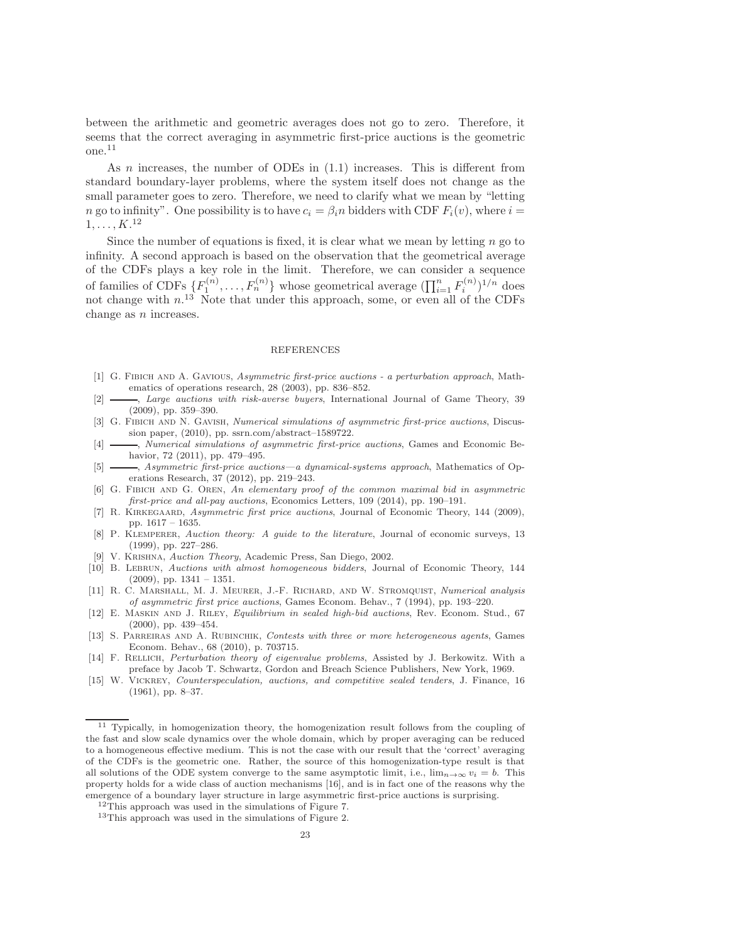between the arithmetic and geometric averages does not go to zero. Therefore, it seems that the correct averaging in asymmetric first-price auctions is the geometric one.[11](#page-22-15)

As  $n$  increases, the number of ODEs in  $(1.1)$  increases. This is different from standard boundary-layer problems, where the system itself does not change as the small parameter goes to zero. Therefore, we need to clarify what we mean by "letting n go to infinity". One possibility is to have  $c_i = \beta_i n$  bidders with CDF  $F_i(v)$ , where  $i =$  $1, \ldots, K.$ <sup>[12](#page-22-16)</sup>

Since the number of equations is fixed, it is clear what we mean by letting  $n$  go to infinity. A second approach is based on the observation that the geometrical average of the CDFs plays a key role in the limit. Therefore, we can consider a sequence of families of CDFs  $\{F_1^{(n)},...,F_n^{(n)}\}$  whose geometrical average  $(\prod_{i=1}^n F_i^{(n)})^{1/n}$  does not change with n. [13](#page-22-17) Note that under this approach, some, or even all of the CDFs change as  $n$  increases.

## REFERENCES

- <span id="page-22-5"></span>[1] G. Fibich and A. Gavious, Asymmetric first-price auctions - a perturbation approach, Mathematics of operations research, 28 (2003), pp. 836–852.
- <span id="page-22-6"></span>-, Large auctions with risk-averse buyers, International Journal of Game Theory, 39 (2009), pp. 359–390.
- <span id="page-22-14"></span>[3] G. FIBICH AND N. GAVISH, Numerical simulations of asymmetric first-price auctions, Discussion paper, (2010), pp. ssrn.com/abstract–1589722.
- <span id="page-22-13"></span>[4]  $\longrightarrow$ , Numerical simulations of asymmetric first-price auctions, Games and Economic Behavior, 72 (2011), pp. 479–495.
- <span id="page-22-10"></span> $\longrightarrow$ , Asymmetric first-price auctions—a dynamical-systems approach, Mathematics of Operations Research, 37 (2012), pp. 219–243.
- <span id="page-22-7"></span>[6] G. Fibich and G. Oren, An elementary proof of the common maximal bid in asymmetric first-price and all-pay auctions, Economics Letters, 109 (2014), pp. 190–191.
- <span id="page-22-11"></span>[7] R. Kirkegaard, Asymmetric first price auctions, Journal of Economic Theory, 144 (2009), pp. 1617 – 1635.
- <span id="page-22-1"></span>[8] P. KLEMPERER, Auction theory: A guide to the literature, Journal of economic surveys, 13 (1999), pp. 227–286.
- <span id="page-22-3"></span><span id="page-22-2"></span>[9] V. Krishna, Auction Theory, Academic Press, San Diego, 2002.
- [10] B. Lebrun, Auctions with almost homogeneous bidders, Journal of Economic Theory, 144  $(2009)$ , pp.  $1341 - 1351$ .
- <span id="page-22-12"></span>[11] R. C. MARSHALL, M. J. MEURER, J.-F. RICHARD, AND W. STROMQUIST, Numerical analysis of asymmetric first price auctions, Games Econom. Behav., 7 (1994), pp. 193–220.
- <span id="page-22-4"></span>[12] E. Maskin and J. Riley, Equilibrium in sealed high-bid auctions, Rev. Econom. Stud., 67 (2000), pp. 439–454.
- <span id="page-22-8"></span>[13] S. PARREIRAS AND A. RUBINCHIK, Contests with three or more heterogeneous agents, Games Econom. Behav., 68 (2010), p. 703715.
- <span id="page-22-9"></span>[14] F. RELLICH, *Perturbation theory of eigenvalue problems*, Assisted by J. Berkowitz. With a preface by Jacob T. Schwartz, Gordon and Breach Science Publishers, New York, 1969.
- <span id="page-22-0"></span>[15] W. Vickrey, Counterspeculation, auctions, and competitive sealed tenders, J. Finance, 16 (1961), pp. 8–37.

<span id="page-22-15"></span><sup>&</sup>lt;sup>11</sup> Typically, in homogenization theory, the homogenization result follows from the coupling of the fast and slow scale dynamics over the whole domain, which by proper averaging can be reduced to a homogeneous effective medium. This is not the case with our result that the 'correct' averaging of the CDFs is the geometric one. Rather, the source of this homogenization-type result is that all solutions of the ODE system converge to the same asymptotic limit, i.e.,  $\lim_{n\to\infty} v_i = b$ . This property holds for a wide class of auction mechanisms [\[16\]](#page-23-0), and is in fact one of the reasons why the emergence of a boundary layer structure in large asymmetric first-price auctions is surprising.

<span id="page-22-17"></span><span id="page-22-16"></span><sup>&</sup>lt;sup>12</sup>This approach was used in the simulations of Figure [7.](#page-17-2) <sup>13</sup>This approach was used in the simulations of Figure [2.](#page-15-0)